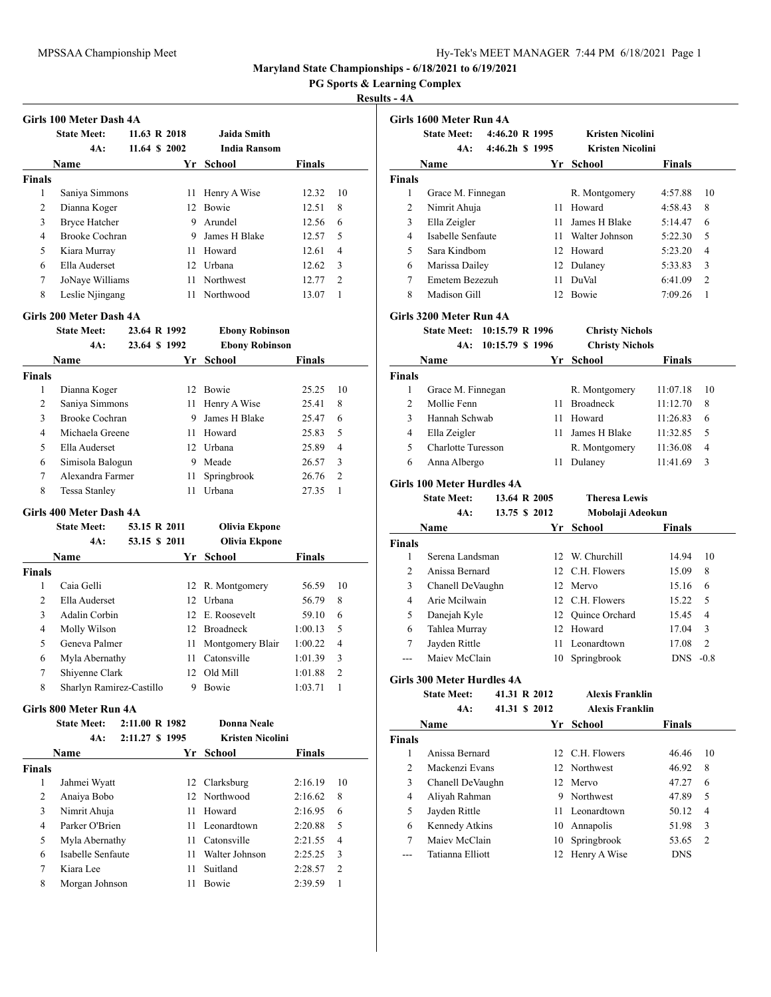**PG Sports & Learning Complex**

## **Results - 4A**

|               | Girls 100 Meter Dash 4A |               |                 |                     |               |                |
|---------------|-------------------------|---------------|-----------------|---------------------|---------------|----------------|
|               | <b>State Meet:</b>      | 11.63 R 2018  |                 | Jaida Smith         |               |                |
|               | 4A:                     | 11.64 \$ 2002 |                 | <b>India Ransom</b> |               |                |
|               | <b>Name</b>             |               | Yr              | <b>School</b>       | <b>Finals</b> |                |
| <b>Finals</b> |                         |               |                 |                     |               |                |
| 1             | Saniya Simmons          |               | 11              | Henry A Wise        | 12.32         | 10             |
| 2             | Dianna Koger            |               | 12 <sub>1</sub> | <b>Bowie</b>        | 12.51         | 8              |
| 3             | <b>Bryce Hatcher</b>    |               | 9               | Arundel             | 12.56         | 6              |
| 4             | Brooke Cochran          |               | 9               | James H Blake       | 12.57         | 5              |
| 5             | Kiara Murray            |               | 11              | Howard              | 12.61         | 4              |
| 6             | Ella Auderset           |               | 12              | Urbana              | 12.62         | 3              |
| 7             | JoNaye Williams         |               | 11              | Northwest           | 12.77         | $\mathfrak{D}$ |
| 8             | Leslie Njingang         |               | 11              | Northwood           | 13.07         |                |

### **Girls 200 Meter Dash 4A**

|               | <b>State Meet:</b> | 23.64 R 1992 |    | <b>Ebony Robinson</b> |               |                |
|---------------|--------------------|--------------|----|-----------------------|---------------|----------------|
|               | 4A:                | 23.64 \$1992 |    | <b>Ebony Robinson</b> |               |                |
|               | Name               |              | Yr | School                | <b>Finals</b> |                |
| <b>Finals</b> |                    |              |    |                       |               |                |
| 1             | Dianna Koger       |              | 12 | <b>Bowie</b>          | 25.25         | 10             |
| 2             | Saniya Simmons     |              |    | 11 Henry A Wise       | 25.41         | 8              |
| 3             | Brooke Cochran     |              | 9  | James H Blake         | 25.47         | 6              |
| 4             | Michaela Greene    |              | 11 | Howard                | 25.83         | 5              |
| 5             | Ella Auderset      |              |    | 12 Urbana             | 25.89         | 4              |
| 6             | Simisola Balogun   |              | 9  | Meade                 | 26.57         | 3              |
| 7             | Alexandra Farmer   |              | 11 | Springbrook           | 26.76         | $\overline{2}$ |
| 8             | Tessa Stanley      |              |    | Urbana                | 27.35         |                |

# **Girls 400 Meter Dash 4A**

| <b>State Meet:</b> |             |    | Olivia Ekpone                                             |                                               |                |
|--------------------|-------------|----|-----------------------------------------------------------|-----------------------------------------------|----------------|
| 4A:                |             |    | Olivia Ekpone                                             |                                               |                |
|                    |             | Yr | School                                                    | <b>Finals</b>                                 |                |
|                    |             |    |                                                           |                                               |                |
| Caia Gelli         |             |    |                                                           | 56.59                                         | 10             |
| Ella Auderset      |             | 12 |                                                           | 56.79                                         | 8              |
| Adalin Corbin      |             |    |                                                           | 59.10                                         | 6              |
| Molly Wilson       |             | 12 | <b>Broadneck</b>                                          | 1:00.13                                       | 5              |
| Geneva Palmer      |             | 11 | Montgomery Blair                                          | 1:00.22                                       | 4              |
| Myla Abernathy     |             | 11 | Catonsville                                               | 1:01.39                                       | 3              |
| Shiyenne Clark     |             | 12 | Old Mill                                                  | 1:01.88                                       | $\overline{c}$ |
|                    |             | 9  | Bowie                                                     | 1:03.71                                       |                |
|                    | <b>Name</b> |    | 53.15 R 2011<br>53.15 \$ 2011<br>Sharlyn Ramirez-Castillo | 12 R. Montgomery<br>Urbana<br>12 E. Roosevelt |                |

### **Girls 800 Meter Run 4A**

|        | <b>State Meet:</b> | 2:11.00 R 1982  |     | Donna Neale             |               |                |
|--------|--------------------|-----------------|-----|-------------------------|---------------|----------------|
|        | 4A:                | 2:11.27 \$ 1995 |     | <b>Kristen Nicolini</b> |               |                |
|        | Name               |                 | Yr. | School                  | <b>Finals</b> |                |
| Finals |                    |                 |     |                         |               |                |
| 1      | Jahmei Wyatt       |                 |     | 12 Clarksburg           | 2:16.19       | 10             |
| 2      | Anaiya Bobo        |                 |     | 12 Northwood            | 2:16.62       | 8              |
| 3      | Nimrit Ahuja       |                 |     | 11 Howard               | 2:16.95       | 6              |
| 4      | Parker O'Brien     |                 |     | 11 Leonardtown          | 2:20.88       | 5              |
| 5      | Myla Abernathy     |                 | 11. | Catonsville             | 2:21.55       | $\overline{4}$ |
| 6      | Isabelle Senfaute  |                 | 11  | Walter Johnson          | 2:25.25       | $\mathbf{3}$   |
| 7      | Kiara Lee          |                 | 11. | Suitland                | 2:28.57       | $\mathcal{L}$  |
| 8      | Morgan Johnson     |                 | 11  | <b>Bowie</b>            | 2:39.59       | 1              |
|        |                    |                 |     |                         |               |                |

|                    | <b>State Meet:</b>                | 4:46.20 R 1995   |    | <b>Kristen Nicolini</b> |               |                |
|--------------------|-----------------------------------|------------------|----|-------------------------|---------------|----------------|
|                    | 4A:                               | 4:46.2h \$ 1995  |    | <b>Kristen Nicolini</b> |               |                |
|                    | Name                              |                  |    | Yr School               | Finals        |                |
| <b>Finals</b>      |                                   |                  |    |                         |               |                |
| 1                  | Grace M. Finnegan                 |                  |    | R. Montgomery           | 4:57.88       | 10             |
| 2                  | Nimrit Ahuja                      |                  | 11 | Howard                  | 4:58.43       | 8              |
| 3                  | Ella Zeigler                      |                  | 11 | James H Blake           | 5:14.47       | 6              |
| $\overline{4}$     | Isabelle Senfaute                 |                  | 11 | Walter Johnson          | 5:22.30       | 5              |
| 5                  | Sara Kindhom                      |                  |    | 12 Howard               | 5:23.20       | 4              |
| 6                  | Marissa Dailey                    |                  |    | 12 Dulaney              | 5:33.83       | 3              |
| 7                  | Emetem Bezezuh                    |                  |    | 11 DuVal                | 6:41.09       | $\overline{2}$ |
| 8                  | Madison Gill                      |                  | 12 | <b>Bowie</b>            | 7:09.26       | 1              |
|                    | Girls 3200 Meter Run 4A           |                  |    |                         |               |                |
|                    | State Meet: 10:15.79 R 1996       |                  |    | <b>Christy Nichols</b>  |               |                |
|                    | 4A:                               | 10:15.79 \$ 1996 |    | <b>Christy Nichols</b>  |               |                |
|                    | Name                              |                  |    | Yr School               | Finals        |                |
| <b>Finals</b>      |                                   |                  |    |                         |               |                |
| 1                  | Grace M. Finnegan                 |                  |    | R. Montgomery           | 11:07.18      | 10             |
| $\overline{c}$     | Mollie Fenn                       |                  | 11 | <b>Broadneck</b>        | 11:12.70      | 8              |
| 3                  | Hannah Schwab                     |                  | 11 | Howard                  | 11:26.83      | 6              |
| 4                  | Ella Zeigler                      |                  | 11 | James H Blake           | 11:32.85      | 5              |
| 5                  | <b>Charlotte Turesson</b>         |                  |    | R. Montgomery           | 11:36.08      | 4              |
| 6                  | Anna Albergo                      |                  | 11 | Dulaney                 | 11:41.69      | 3              |
|                    | Girls 100 Meter Hurdles 4A        |                  |    |                         |               |                |
|                    | <b>State Meet:</b>                | 13.64 R 2005     |    | <b>Theresa Lewis</b>    |               |                |
|                    | 4A:                               | 13.75 \$ 2012    |    | Mobolaji Adeokun        |               |                |
|                    | Name                              |                  |    | Yr School               | <b>Finals</b> |                |
| <b>Finals</b>      |                                   |                  |    |                         |               |                |
| 1                  | Serena Landsman                   |                  | 12 | W. Churchill            | 14.94         | 10             |
| $\overline{c}$     | Anissa Bernard                    |                  |    | 12 C.H. Flowers         | 15.09         | 8              |
| 3                  | Chanell DeVaughn                  |                  |    | 12 Mervo                | 15.16         | 6              |
| 4                  | Arie Mcilwain                     |                  |    | 12 C.H. Flowers         | 15.22         | 5              |
| 5                  | Danejah Kyle                      |                  | 12 | Quince Orchard          | 15.45         | 4              |
|                    |                                   |                  |    |                         |               |                |
| 6                  | Tahlea Murray                     |                  |    | 12 Howard               | 17.04         | 3              |
| 7                  | Jayden Rittle                     |                  | 11 | Leonardtown             | 17.08         | $\mathfrak{D}$ |
| ---                | Maiev McClain                     |                  | 10 | Springbrook             | $DNS -0.8$    |                |
|                    | <b>Girls 300 Meter Hurdles 4A</b> |                  |    |                         |               |                |
|                    | <b>State Meet:</b>                | 41.31 R 2012     |    | <b>Alexis Franklin</b>  |               |                |
|                    | 4A:                               | 41.31 \$ 2012    |    | <b>Alexis Franklin</b>  |               |                |
|                    | Name                              |                  |    | Yr School               | <b>Finals</b> |                |
| $\mathbf{1}$       | Anissa Bernard                    |                  | 12 | C.H. Flowers            | 46.46         | 10             |
| 2                  | Mackenzi Evans                    |                  |    | 12 Northwest            | 46.92         | 8              |
| 3                  | Chanell DeVaughn                  |                  |    | 12 Mervo                | 47.27         | 6              |
| 4                  |                                   |                  |    | 9 Northwest             | 47.89         | 5              |
| 5                  | Aliyah Rahman<br>Jayden Rittle    |                  |    | 11 Leonardtown          | 50.12         | 4              |
| 6                  |                                   |                  |    | 10 Annapolis            | 51.98         | 3              |
| <b>Finals</b><br>7 | Kennedy Atkins<br>Maiev McClain   |                  | 10 | Springbrook             | 53.65         | $\overline{c}$ |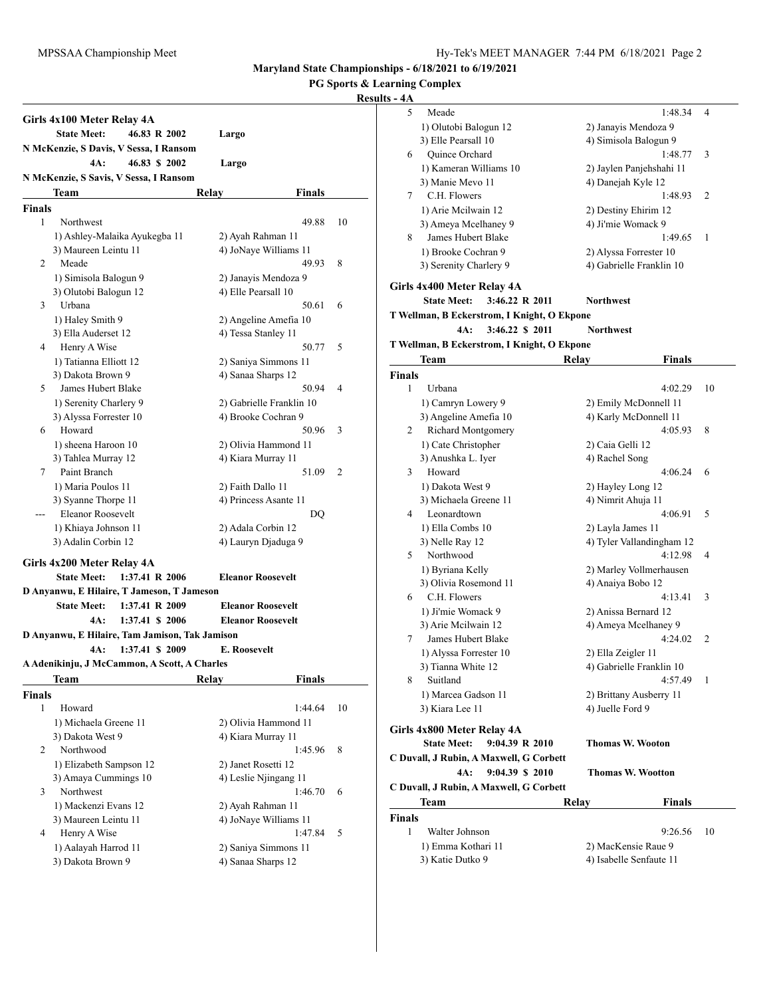**PG Sports & Learning Complex**

|               | Girls 4x100 Meter Relay 4A                       |                 |                              |    |
|---------------|--------------------------------------------------|-----------------|------------------------------|----|
|               | <b>State Meet:</b>                               | 46.83 R 2002    | Largo                        |    |
|               | N McKenzie, S Davis, V Sessa, I Ransom           |                 |                              |    |
|               | 4A:                                              | 46.83 \$ 2002   | Largo                        |    |
|               | N McKenzie, S Savis, V Sessa, I Ransom           |                 |                              |    |
|               | Team                                             | Relay           | Finals                       |    |
| <b>Finals</b> |                                                  |                 |                              |    |
| 1             | Northwest                                        |                 | 49.88                        | 10 |
|               | 1) Ashley-Malaika Ayukegba 11                    |                 | 2) Ayah Rahman 11            |    |
|               | 3) Maureen Leintu 11                             |                 | 4) JoNaye Williams 11        |    |
| 2             | Meade                                            |                 | 49.93                        | 8  |
|               | 1) Simisola Balogun 9                            |                 | 2) Janayis Mendoza 9         |    |
|               | 3) Olutobi Balogun 12                            |                 | 4) Elle Pearsall 10          |    |
| 3             | Urbana                                           |                 | 50.61                        | 6  |
|               | 1) Haley Smith 9                                 |                 | 2) Angeline Amefia 10        |    |
|               | 3) Ella Auderset 12                              |                 | 4) Tessa Stanley 11          |    |
| 4             | Henry A Wise                                     |                 | 50.77                        | 5  |
|               | 1) Tatianna Elliott 12                           |                 | 2) Saniya Simmons 11         |    |
|               | 3) Dakota Brown 9                                |                 | 4) Sanaa Sharps 12           |    |
| 5             | James Hubert Blake                               |                 | 50.94                        | 4  |
|               | 1) Serenity Charlery 9<br>3) Alyssa Forrester 10 |                 | 2) Gabrielle Franklin 10     |    |
| 6             | Howard                                           |                 | 4) Brooke Cochran 9<br>50.96 | 3  |
|               | 1) sheena Haroon 10                              |                 | 2) Olivia Hammond 11         |    |
|               | 3) Tahlea Murray 12                              |                 | 4) Kiara Murray 11           |    |
| 7             | Paint Branch                                     |                 | 51.09                        | 2  |
|               | 1) Maria Poulos 11                               |                 | 2) Faith Dallo 11            |    |
|               | 3) Syanne Thorpe 11                              |                 | 4) Princess Asante 11        |    |
|               | Eleanor Roosevelt                                |                 | DO                           |    |
|               | 1) Khiaya Johnson 11                             |                 | 2) Adala Corbin 12           |    |
|               | 3) Adalin Corbin 12                              |                 | 4) Lauryn Djaduga 9          |    |
|               | Girls 4x200 Meter Relay 4A                       |                 |                              |    |
|               | <b>State Meet:</b>                               | 1:37.41 R 2006  | <b>Eleanor Roosevelt</b>     |    |
|               | D Anyanwu, E Hilaire, T Jameson, T Jameson       |                 |                              |    |
|               | <b>State Meet:</b>                               | 1:37.41 R 2009  | <b>Eleanor Roosevelt</b>     |    |
|               | 4A:<br>1:37.41 \$ 2006                           |                 | <b>Eleanor Roosevelt</b>     |    |
|               | D Anyanwu, E Hilaire, Tam Jamison, Tak Jamison   |                 |                              |    |
|               | 4A:                                              | 1:37.41 \$ 2009 | <b>E. Roosevelt</b>          |    |
|               | A Adenikinju, J McCammon, A Scott, A Charles     |                 |                              |    |
|               | <b>Team</b>                                      | Relay           | <b>Finals</b>                |    |
| <b>Finals</b> |                                                  |                 |                              |    |
| 1             | Howard                                           |                 | 1:44.64                      | 10 |
|               | 1) Michaela Greene 11                            |                 | 2) Olivia Hammond 11         |    |
|               | 3) Dakota West 9                                 |                 | 4) Kiara Murray 11           |    |
| 2             | Northwood                                        |                 | 1:45.96                      | 8  |
|               | 1) Elizabeth Sampson 12                          |                 | 2) Janet Rosetti 12          |    |
|               | 3) Amaya Cummings 10                             |                 | 4) Leslie Njingang 11        |    |
| 3             | Northwest                                        |                 | 1:46.70                      | 6  |
|               | 1) Mackenzi Evans 12                             |                 | 2) Ayah Rahman 11            |    |
|               | 3) Maureen Leintu 11                             |                 | 4) JoNaye Williams 11        |    |
| 4             | Henry A Wise                                     |                 | 1:47.84                      | 5  |
|               | 1) Aalayah Harrod 11                             |                 | 2) Saniya Simmons 11         |    |
|               | 3) Dakota Brown 9                                |                 | 4) Sanaa Sharps 12           |    |

| 5<br>1:48.34<br>4<br>Meade<br>1) Olutobi Balogun 12<br>2) Janayis Mendoza 9<br>3) Elle Pearsall 10<br>4) Simisola Balogun 9<br>Quince Orchard<br>1:48.77<br>3<br>6<br>1) Kameran Williams 10<br>2) Jaylen Panjehshahi 11<br>3) Manie Mevo 11<br>4) Danejah Kyle 12<br>C.H. Flowers<br>1:48.93<br>2<br>7<br>1) Arie Mcilwain 12<br>2) Destiny Ehirim 12<br>3) Ameya Mcelhaney 9<br>4) Ji'mie Womack 9<br><b>James Hubert Blake</b><br>8<br>1:49.65<br>1<br>1) Brooke Cochran 9<br>2) Alyssa Forrester 10<br>3) Serenity Charlery 9<br>4) Gabrielle Franklin 10<br>Girls 4x400 Meter Relay 4A<br>3:46.22 R 2011<br><b>State Meet:</b><br><b>Northwest</b><br>T Wellman, B Eckerstrom, I Knight, O Ekpone<br>3:46.22 \$ 2011<br>4A:<br><b>Northwest</b><br>T Wellman, B Eckerstrom, I Knight, O Ekpone<br>Team<br>Relay<br>Finals<br><b>Finals</b><br>1<br>Urbana<br>4:02.29<br>10<br>1) Camryn Lowery 9<br>2) Emily McDonnell 11<br>3) Angeline Amefia 10<br>4) Karly McDonnell 11<br>Richard Montgomery<br>2<br>4:05.93<br>8<br>1) Cate Christopher<br>2) Caia Gelli 12<br>3) Anushka L. Iyer<br>4) Rachel Song<br>Howard<br>3<br>4:06.24<br>6<br>1) Dakota West 9<br>2) Hayley Long 12<br>3) Michaela Greene 11<br>4) Nimrit Ahuja 11<br>Leonardtown<br>4:06.91<br>5<br>4<br>1) Ella Combs 10<br>2) Layla James 11<br>3) Nelle Ray 12<br>4) Tyler Vallandingham 12<br>Northwood<br>5<br>4:12.98<br>4<br>1) Byriana Kelly<br>2) Marley Vollmerhausen<br>3) Olivia Rosemond 11<br>4) Anaiya Bobo 12<br>C.H. Flowers<br>4:13.41<br>3<br>6<br>1) Ji'mie Womack 9<br>2) Anissa Bernard 12<br>4) Ameya Mcelhaney 9<br>3) Arie Mcilwain 12<br>James Hubert Blake<br>4:24.02<br>2<br>7<br>1) Alyssa Forrester 10<br>2) Ella Zeigler 11<br>3) Tianna White 12<br>4) Gabrielle Franklin 10<br>Suitland<br>4:57.49<br>8<br>1<br>2) Brittany Ausberry 11<br>1) Marcea Gadson 11<br>3) Kiara Lee 11<br>4) Juelle Ford 9<br>Girls 4x800 Meter Relay 4A<br>9:04.39 R 2010<br><b>State Meet:</b><br><b>Thomas W. Wooton</b><br>C Duvall, J Rubin, A Maxwell, G Corbett<br>4A:<br>9:04.39 \$ 2010<br><b>Thomas W. Wootton</b><br>C Duvall, J Rubin, A Maxwell, G Corbett<br>Team<br>Relay<br>Finals<br>Finals<br>1<br>Walter Johnson<br>9:26.56<br>10<br>1) Emma Kothari 11<br>2) MacKensie Raue 9<br>3) Katie Dutko 9<br>4) Isabelle Senfaute 11 |  |  |
|----------------------------------------------------------------------------------------------------------------------------------------------------------------------------------------------------------------------------------------------------------------------------------------------------------------------------------------------------------------------------------------------------------------------------------------------------------------------------------------------------------------------------------------------------------------------------------------------------------------------------------------------------------------------------------------------------------------------------------------------------------------------------------------------------------------------------------------------------------------------------------------------------------------------------------------------------------------------------------------------------------------------------------------------------------------------------------------------------------------------------------------------------------------------------------------------------------------------------------------------------------------------------------------------------------------------------------------------------------------------------------------------------------------------------------------------------------------------------------------------------------------------------------------------------------------------------------------------------------------------------------------------------------------------------------------------------------------------------------------------------------------------------------------------------------------------------------------------------------------------------------------------------------------------------------------------------------------------------------------------------------------------------------------------------------------------------------------------------------------------------------------------------------------------------------------------------------------------------------------------------------------------------------------------------------------------------------|--|--|
|                                                                                                                                                                                                                                                                                                                                                                                                                                                                                                                                                                                                                                                                                                                                                                                                                                                                                                                                                                                                                                                                                                                                                                                                                                                                                                                                                                                                                                                                                                                                                                                                                                                                                                                                                                                                                                                                                                                                                                                                                                                                                                                                                                                                                                                                                                                                  |  |  |
|                                                                                                                                                                                                                                                                                                                                                                                                                                                                                                                                                                                                                                                                                                                                                                                                                                                                                                                                                                                                                                                                                                                                                                                                                                                                                                                                                                                                                                                                                                                                                                                                                                                                                                                                                                                                                                                                                                                                                                                                                                                                                                                                                                                                                                                                                                                                  |  |  |
|                                                                                                                                                                                                                                                                                                                                                                                                                                                                                                                                                                                                                                                                                                                                                                                                                                                                                                                                                                                                                                                                                                                                                                                                                                                                                                                                                                                                                                                                                                                                                                                                                                                                                                                                                                                                                                                                                                                                                                                                                                                                                                                                                                                                                                                                                                                                  |  |  |
|                                                                                                                                                                                                                                                                                                                                                                                                                                                                                                                                                                                                                                                                                                                                                                                                                                                                                                                                                                                                                                                                                                                                                                                                                                                                                                                                                                                                                                                                                                                                                                                                                                                                                                                                                                                                                                                                                                                                                                                                                                                                                                                                                                                                                                                                                                                                  |  |  |
|                                                                                                                                                                                                                                                                                                                                                                                                                                                                                                                                                                                                                                                                                                                                                                                                                                                                                                                                                                                                                                                                                                                                                                                                                                                                                                                                                                                                                                                                                                                                                                                                                                                                                                                                                                                                                                                                                                                                                                                                                                                                                                                                                                                                                                                                                                                                  |  |  |
|                                                                                                                                                                                                                                                                                                                                                                                                                                                                                                                                                                                                                                                                                                                                                                                                                                                                                                                                                                                                                                                                                                                                                                                                                                                                                                                                                                                                                                                                                                                                                                                                                                                                                                                                                                                                                                                                                                                                                                                                                                                                                                                                                                                                                                                                                                                                  |  |  |
|                                                                                                                                                                                                                                                                                                                                                                                                                                                                                                                                                                                                                                                                                                                                                                                                                                                                                                                                                                                                                                                                                                                                                                                                                                                                                                                                                                                                                                                                                                                                                                                                                                                                                                                                                                                                                                                                                                                                                                                                                                                                                                                                                                                                                                                                                                                                  |  |  |
|                                                                                                                                                                                                                                                                                                                                                                                                                                                                                                                                                                                                                                                                                                                                                                                                                                                                                                                                                                                                                                                                                                                                                                                                                                                                                                                                                                                                                                                                                                                                                                                                                                                                                                                                                                                                                                                                                                                                                                                                                                                                                                                                                                                                                                                                                                                                  |  |  |
|                                                                                                                                                                                                                                                                                                                                                                                                                                                                                                                                                                                                                                                                                                                                                                                                                                                                                                                                                                                                                                                                                                                                                                                                                                                                                                                                                                                                                                                                                                                                                                                                                                                                                                                                                                                                                                                                                                                                                                                                                                                                                                                                                                                                                                                                                                                                  |  |  |
|                                                                                                                                                                                                                                                                                                                                                                                                                                                                                                                                                                                                                                                                                                                                                                                                                                                                                                                                                                                                                                                                                                                                                                                                                                                                                                                                                                                                                                                                                                                                                                                                                                                                                                                                                                                                                                                                                                                                                                                                                                                                                                                                                                                                                                                                                                                                  |  |  |
|                                                                                                                                                                                                                                                                                                                                                                                                                                                                                                                                                                                                                                                                                                                                                                                                                                                                                                                                                                                                                                                                                                                                                                                                                                                                                                                                                                                                                                                                                                                                                                                                                                                                                                                                                                                                                                                                                                                                                                                                                                                                                                                                                                                                                                                                                                                                  |  |  |
|                                                                                                                                                                                                                                                                                                                                                                                                                                                                                                                                                                                                                                                                                                                                                                                                                                                                                                                                                                                                                                                                                                                                                                                                                                                                                                                                                                                                                                                                                                                                                                                                                                                                                                                                                                                                                                                                                                                                                                                                                                                                                                                                                                                                                                                                                                                                  |  |  |
|                                                                                                                                                                                                                                                                                                                                                                                                                                                                                                                                                                                                                                                                                                                                                                                                                                                                                                                                                                                                                                                                                                                                                                                                                                                                                                                                                                                                                                                                                                                                                                                                                                                                                                                                                                                                                                                                                                                                                                                                                                                                                                                                                                                                                                                                                                                                  |  |  |
|                                                                                                                                                                                                                                                                                                                                                                                                                                                                                                                                                                                                                                                                                                                                                                                                                                                                                                                                                                                                                                                                                                                                                                                                                                                                                                                                                                                                                                                                                                                                                                                                                                                                                                                                                                                                                                                                                                                                                                                                                                                                                                                                                                                                                                                                                                                                  |  |  |
|                                                                                                                                                                                                                                                                                                                                                                                                                                                                                                                                                                                                                                                                                                                                                                                                                                                                                                                                                                                                                                                                                                                                                                                                                                                                                                                                                                                                                                                                                                                                                                                                                                                                                                                                                                                                                                                                                                                                                                                                                                                                                                                                                                                                                                                                                                                                  |  |  |
|                                                                                                                                                                                                                                                                                                                                                                                                                                                                                                                                                                                                                                                                                                                                                                                                                                                                                                                                                                                                                                                                                                                                                                                                                                                                                                                                                                                                                                                                                                                                                                                                                                                                                                                                                                                                                                                                                                                                                                                                                                                                                                                                                                                                                                                                                                                                  |  |  |
|                                                                                                                                                                                                                                                                                                                                                                                                                                                                                                                                                                                                                                                                                                                                                                                                                                                                                                                                                                                                                                                                                                                                                                                                                                                                                                                                                                                                                                                                                                                                                                                                                                                                                                                                                                                                                                                                                                                                                                                                                                                                                                                                                                                                                                                                                                                                  |  |  |
|                                                                                                                                                                                                                                                                                                                                                                                                                                                                                                                                                                                                                                                                                                                                                                                                                                                                                                                                                                                                                                                                                                                                                                                                                                                                                                                                                                                                                                                                                                                                                                                                                                                                                                                                                                                                                                                                                                                                                                                                                                                                                                                                                                                                                                                                                                                                  |  |  |
|                                                                                                                                                                                                                                                                                                                                                                                                                                                                                                                                                                                                                                                                                                                                                                                                                                                                                                                                                                                                                                                                                                                                                                                                                                                                                                                                                                                                                                                                                                                                                                                                                                                                                                                                                                                                                                                                                                                                                                                                                                                                                                                                                                                                                                                                                                                                  |  |  |
|                                                                                                                                                                                                                                                                                                                                                                                                                                                                                                                                                                                                                                                                                                                                                                                                                                                                                                                                                                                                                                                                                                                                                                                                                                                                                                                                                                                                                                                                                                                                                                                                                                                                                                                                                                                                                                                                                                                                                                                                                                                                                                                                                                                                                                                                                                                                  |  |  |
|                                                                                                                                                                                                                                                                                                                                                                                                                                                                                                                                                                                                                                                                                                                                                                                                                                                                                                                                                                                                                                                                                                                                                                                                                                                                                                                                                                                                                                                                                                                                                                                                                                                                                                                                                                                                                                                                                                                                                                                                                                                                                                                                                                                                                                                                                                                                  |  |  |
|                                                                                                                                                                                                                                                                                                                                                                                                                                                                                                                                                                                                                                                                                                                                                                                                                                                                                                                                                                                                                                                                                                                                                                                                                                                                                                                                                                                                                                                                                                                                                                                                                                                                                                                                                                                                                                                                                                                                                                                                                                                                                                                                                                                                                                                                                                                                  |  |  |
|                                                                                                                                                                                                                                                                                                                                                                                                                                                                                                                                                                                                                                                                                                                                                                                                                                                                                                                                                                                                                                                                                                                                                                                                                                                                                                                                                                                                                                                                                                                                                                                                                                                                                                                                                                                                                                                                                                                                                                                                                                                                                                                                                                                                                                                                                                                                  |  |  |
|                                                                                                                                                                                                                                                                                                                                                                                                                                                                                                                                                                                                                                                                                                                                                                                                                                                                                                                                                                                                                                                                                                                                                                                                                                                                                                                                                                                                                                                                                                                                                                                                                                                                                                                                                                                                                                                                                                                                                                                                                                                                                                                                                                                                                                                                                                                                  |  |  |
|                                                                                                                                                                                                                                                                                                                                                                                                                                                                                                                                                                                                                                                                                                                                                                                                                                                                                                                                                                                                                                                                                                                                                                                                                                                                                                                                                                                                                                                                                                                                                                                                                                                                                                                                                                                                                                                                                                                                                                                                                                                                                                                                                                                                                                                                                                                                  |  |  |
|                                                                                                                                                                                                                                                                                                                                                                                                                                                                                                                                                                                                                                                                                                                                                                                                                                                                                                                                                                                                                                                                                                                                                                                                                                                                                                                                                                                                                                                                                                                                                                                                                                                                                                                                                                                                                                                                                                                                                                                                                                                                                                                                                                                                                                                                                                                                  |  |  |
|                                                                                                                                                                                                                                                                                                                                                                                                                                                                                                                                                                                                                                                                                                                                                                                                                                                                                                                                                                                                                                                                                                                                                                                                                                                                                                                                                                                                                                                                                                                                                                                                                                                                                                                                                                                                                                                                                                                                                                                                                                                                                                                                                                                                                                                                                                                                  |  |  |
|                                                                                                                                                                                                                                                                                                                                                                                                                                                                                                                                                                                                                                                                                                                                                                                                                                                                                                                                                                                                                                                                                                                                                                                                                                                                                                                                                                                                                                                                                                                                                                                                                                                                                                                                                                                                                                                                                                                                                                                                                                                                                                                                                                                                                                                                                                                                  |  |  |
|                                                                                                                                                                                                                                                                                                                                                                                                                                                                                                                                                                                                                                                                                                                                                                                                                                                                                                                                                                                                                                                                                                                                                                                                                                                                                                                                                                                                                                                                                                                                                                                                                                                                                                                                                                                                                                                                                                                                                                                                                                                                                                                                                                                                                                                                                                                                  |  |  |
|                                                                                                                                                                                                                                                                                                                                                                                                                                                                                                                                                                                                                                                                                                                                                                                                                                                                                                                                                                                                                                                                                                                                                                                                                                                                                                                                                                                                                                                                                                                                                                                                                                                                                                                                                                                                                                                                                                                                                                                                                                                                                                                                                                                                                                                                                                                                  |  |  |
|                                                                                                                                                                                                                                                                                                                                                                                                                                                                                                                                                                                                                                                                                                                                                                                                                                                                                                                                                                                                                                                                                                                                                                                                                                                                                                                                                                                                                                                                                                                                                                                                                                                                                                                                                                                                                                                                                                                                                                                                                                                                                                                                                                                                                                                                                                                                  |  |  |
|                                                                                                                                                                                                                                                                                                                                                                                                                                                                                                                                                                                                                                                                                                                                                                                                                                                                                                                                                                                                                                                                                                                                                                                                                                                                                                                                                                                                                                                                                                                                                                                                                                                                                                                                                                                                                                                                                                                                                                                                                                                                                                                                                                                                                                                                                                                                  |  |  |
|                                                                                                                                                                                                                                                                                                                                                                                                                                                                                                                                                                                                                                                                                                                                                                                                                                                                                                                                                                                                                                                                                                                                                                                                                                                                                                                                                                                                                                                                                                                                                                                                                                                                                                                                                                                                                                                                                                                                                                                                                                                                                                                                                                                                                                                                                                                                  |  |  |
|                                                                                                                                                                                                                                                                                                                                                                                                                                                                                                                                                                                                                                                                                                                                                                                                                                                                                                                                                                                                                                                                                                                                                                                                                                                                                                                                                                                                                                                                                                                                                                                                                                                                                                                                                                                                                                                                                                                                                                                                                                                                                                                                                                                                                                                                                                                                  |  |  |
|                                                                                                                                                                                                                                                                                                                                                                                                                                                                                                                                                                                                                                                                                                                                                                                                                                                                                                                                                                                                                                                                                                                                                                                                                                                                                                                                                                                                                                                                                                                                                                                                                                                                                                                                                                                                                                                                                                                                                                                                                                                                                                                                                                                                                                                                                                                                  |  |  |
|                                                                                                                                                                                                                                                                                                                                                                                                                                                                                                                                                                                                                                                                                                                                                                                                                                                                                                                                                                                                                                                                                                                                                                                                                                                                                                                                                                                                                                                                                                                                                                                                                                                                                                                                                                                                                                                                                                                                                                                                                                                                                                                                                                                                                                                                                                                                  |  |  |
|                                                                                                                                                                                                                                                                                                                                                                                                                                                                                                                                                                                                                                                                                                                                                                                                                                                                                                                                                                                                                                                                                                                                                                                                                                                                                                                                                                                                                                                                                                                                                                                                                                                                                                                                                                                                                                                                                                                                                                                                                                                                                                                                                                                                                                                                                                                                  |  |  |
|                                                                                                                                                                                                                                                                                                                                                                                                                                                                                                                                                                                                                                                                                                                                                                                                                                                                                                                                                                                                                                                                                                                                                                                                                                                                                                                                                                                                                                                                                                                                                                                                                                                                                                                                                                                                                                                                                                                                                                                                                                                                                                                                                                                                                                                                                                                                  |  |  |
|                                                                                                                                                                                                                                                                                                                                                                                                                                                                                                                                                                                                                                                                                                                                                                                                                                                                                                                                                                                                                                                                                                                                                                                                                                                                                                                                                                                                                                                                                                                                                                                                                                                                                                                                                                                                                                                                                                                                                                                                                                                                                                                                                                                                                                                                                                                                  |  |  |
|                                                                                                                                                                                                                                                                                                                                                                                                                                                                                                                                                                                                                                                                                                                                                                                                                                                                                                                                                                                                                                                                                                                                                                                                                                                                                                                                                                                                                                                                                                                                                                                                                                                                                                                                                                                                                                                                                                                                                                                                                                                                                                                                                                                                                                                                                                                                  |  |  |
|                                                                                                                                                                                                                                                                                                                                                                                                                                                                                                                                                                                                                                                                                                                                                                                                                                                                                                                                                                                                                                                                                                                                                                                                                                                                                                                                                                                                                                                                                                                                                                                                                                                                                                                                                                                                                                                                                                                                                                                                                                                                                                                                                                                                                                                                                                                                  |  |  |
|                                                                                                                                                                                                                                                                                                                                                                                                                                                                                                                                                                                                                                                                                                                                                                                                                                                                                                                                                                                                                                                                                                                                                                                                                                                                                                                                                                                                                                                                                                                                                                                                                                                                                                                                                                                                                                                                                                                                                                                                                                                                                                                                                                                                                                                                                                                                  |  |  |
|                                                                                                                                                                                                                                                                                                                                                                                                                                                                                                                                                                                                                                                                                                                                                                                                                                                                                                                                                                                                                                                                                                                                                                                                                                                                                                                                                                                                                                                                                                                                                                                                                                                                                                                                                                                                                                                                                                                                                                                                                                                                                                                                                                                                                                                                                                                                  |  |  |
|                                                                                                                                                                                                                                                                                                                                                                                                                                                                                                                                                                                                                                                                                                                                                                                                                                                                                                                                                                                                                                                                                                                                                                                                                                                                                                                                                                                                                                                                                                                                                                                                                                                                                                                                                                                                                                                                                                                                                                                                                                                                                                                                                                                                                                                                                                                                  |  |  |
|                                                                                                                                                                                                                                                                                                                                                                                                                                                                                                                                                                                                                                                                                                                                                                                                                                                                                                                                                                                                                                                                                                                                                                                                                                                                                                                                                                                                                                                                                                                                                                                                                                                                                                                                                                                                                                                                                                                                                                                                                                                                                                                                                                                                                                                                                                                                  |  |  |
|                                                                                                                                                                                                                                                                                                                                                                                                                                                                                                                                                                                                                                                                                                                                                                                                                                                                                                                                                                                                                                                                                                                                                                                                                                                                                                                                                                                                                                                                                                                                                                                                                                                                                                                                                                                                                                                                                                                                                                                                                                                                                                                                                                                                                                                                                                                                  |  |  |
|                                                                                                                                                                                                                                                                                                                                                                                                                                                                                                                                                                                                                                                                                                                                                                                                                                                                                                                                                                                                                                                                                                                                                                                                                                                                                                                                                                                                                                                                                                                                                                                                                                                                                                                                                                                                                                                                                                                                                                                                                                                                                                                                                                                                                                                                                                                                  |  |  |
|                                                                                                                                                                                                                                                                                                                                                                                                                                                                                                                                                                                                                                                                                                                                                                                                                                                                                                                                                                                                                                                                                                                                                                                                                                                                                                                                                                                                                                                                                                                                                                                                                                                                                                                                                                                                                                                                                                                                                                                                                                                                                                                                                                                                                                                                                                                                  |  |  |
|                                                                                                                                                                                                                                                                                                                                                                                                                                                                                                                                                                                                                                                                                                                                                                                                                                                                                                                                                                                                                                                                                                                                                                                                                                                                                                                                                                                                                                                                                                                                                                                                                                                                                                                                                                                                                                                                                                                                                                                                                                                                                                                                                                                                                                                                                                                                  |  |  |
|                                                                                                                                                                                                                                                                                                                                                                                                                                                                                                                                                                                                                                                                                                                                                                                                                                                                                                                                                                                                                                                                                                                                                                                                                                                                                                                                                                                                                                                                                                                                                                                                                                                                                                                                                                                                                                                                                                                                                                                                                                                                                                                                                                                                                                                                                                                                  |  |  |
|                                                                                                                                                                                                                                                                                                                                                                                                                                                                                                                                                                                                                                                                                                                                                                                                                                                                                                                                                                                                                                                                                                                                                                                                                                                                                                                                                                                                                                                                                                                                                                                                                                                                                                                                                                                                                                                                                                                                                                                                                                                                                                                                                                                                                                                                                                                                  |  |  |
|                                                                                                                                                                                                                                                                                                                                                                                                                                                                                                                                                                                                                                                                                                                                                                                                                                                                                                                                                                                                                                                                                                                                                                                                                                                                                                                                                                                                                                                                                                                                                                                                                                                                                                                                                                                                                                                                                                                                                                                                                                                                                                                                                                                                                                                                                                                                  |  |  |
|                                                                                                                                                                                                                                                                                                                                                                                                                                                                                                                                                                                                                                                                                                                                                                                                                                                                                                                                                                                                                                                                                                                                                                                                                                                                                                                                                                                                                                                                                                                                                                                                                                                                                                                                                                                                                                                                                                                                                                                                                                                                                                                                                                                                                                                                                                                                  |  |  |
|                                                                                                                                                                                                                                                                                                                                                                                                                                                                                                                                                                                                                                                                                                                                                                                                                                                                                                                                                                                                                                                                                                                                                                                                                                                                                                                                                                                                                                                                                                                                                                                                                                                                                                                                                                                                                                                                                                                                                                                                                                                                                                                                                                                                                                                                                                                                  |  |  |
|                                                                                                                                                                                                                                                                                                                                                                                                                                                                                                                                                                                                                                                                                                                                                                                                                                                                                                                                                                                                                                                                                                                                                                                                                                                                                                                                                                                                                                                                                                                                                                                                                                                                                                                                                                                                                                                                                                                                                                                                                                                                                                                                                                                                                                                                                                                                  |  |  |
|                                                                                                                                                                                                                                                                                                                                                                                                                                                                                                                                                                                                                                                                                                                                                                                                                                                                                                                                                                                                                                                                                                                                                                                                                                                                                                                                                                                                                                                                                                                                                                                                                                                                                                                                                                                                                                                                                                                                                                                                                                                                                                                                                                                                                                                                                                                                  |  |  |
|                                                                                                                                                                                                                                                                                                                                                                                                                                                                                                                                                                                                                                                                                                                                                                                                                                                                                                                                                                                                                                                                                                                                                                                                                                                                                                                                                                                                                                                                                                                                                                                                                                                                                                                                                                                                                                                                                                                                                                                                                                                                                                                                                                                                                                                                                                                                  |  |  |
|                                                                                                                                                                                                                                                                                                                                                                                                                                                                                                                                                                                                                                                                                                                                                                                                                                                                                                                                                                                                                                                                                                                                                                                                                                                                                                                                                                                                                                                                                                                                                                                                                                                                                                                                                                                                                                                                                                                                                                                                                                                                                                                                                                                                                                                                                                                                  |  |  |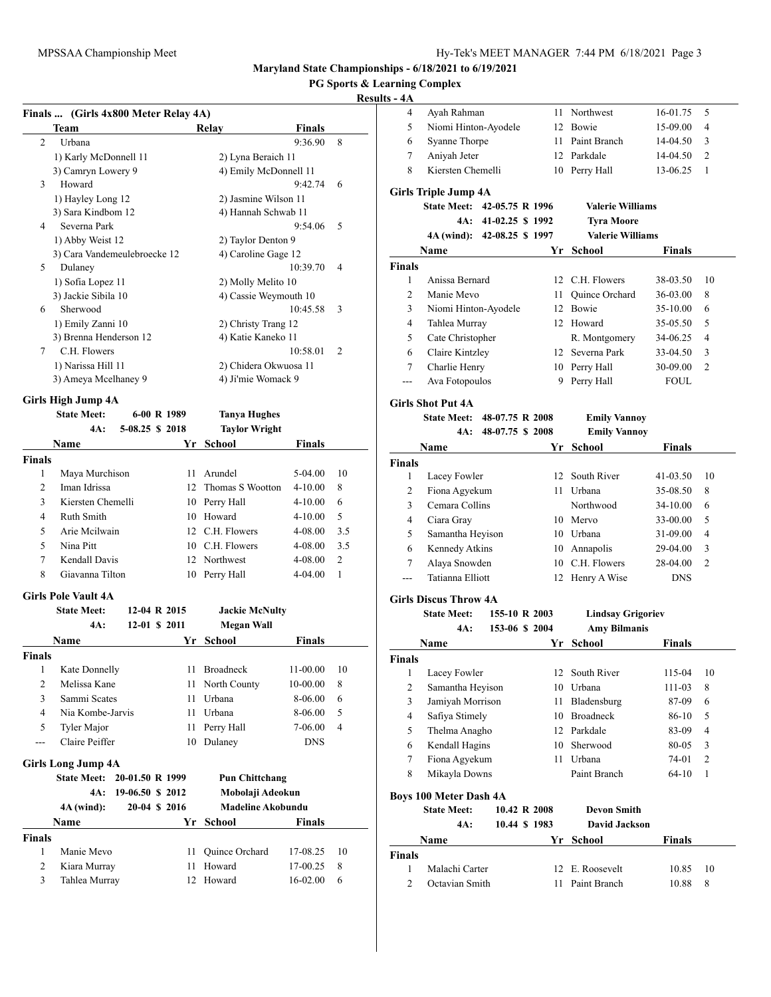# **PG Sports & Learning Complex**

## **Results**

|   | Team                                                                                                                                                                                                                                                                                                                               | Finals<br>Relay       |               |
|---|------------------------------------------------------------------------------------------------------------------------------------------------------------------------------------------------------------------------------------------------------------------------------------------------------------------------------------|-----------------------|---------------|
| 2 | Urbana                                                                                                                                                                                                                                                                                                                             | 9:36.90               | 8             |
|   | 1) Karly McDonnell 11                                                                                                                                                                                                                                                                                                              | 2) Lyna Beraich 11    |               |
|   | 3) Camryn Lowery 9                                                                                                                                                                                                                                                                                                                 | 4) Emily McDonnell 11 |               |
| 3 | Howard                                                                                                                                                                                                                                                                                                                             | 9:42.74               | 6             |
|   | 1) Hayley Long 12                                                                                                                                                                                                                                                                                                                  | 2) Jasmine Wilson 11  |               |
|   | 3) Sara Kindbom 12                                                                                                                                                                                                                                                                                                                 | 4) Hannah Schwab 11   |               |
| 4 | Severna Park                                                                                                                                                                                                                                                                                                                       | 9:54.06               | 5             |
|   | 1) Abby Weist 12                                                                                                                                                                                                                                                                                                                   | 2) Taylor Denton 9    |               |
|   | 3) Cara Vandemeulebroecke 12                                                                                                                                                                                                                                                                                                       | 4) Caroline Gage 12   |               |
| 5 | Dulaney                                                                                                                                                                                                                                                                                                                            | 10:39.70              | 4             |
|   | 1) Sofia Lopez 11                                                                                                                                                                                                                                                                                                                  | 2) Molly Melito 10    |               |
|   | 3) Jackie Sibila 10                                                                                                                                                                                                                                                                                                                | 4) Cassie Weymouth 10 |               |
| 6 | Sherwood                                                                                                                                                                                                                                                                                                                           | 10:45.58              | 3             |
|   | 1) Emily Zanni 10                                                                                                                                                                                                                                                                                                                  | 2) Christy Trang 12   |               |
|   | 3) Brenna Henderson 12                                                                                                                                                                                                                                                                                                             | 4) Katie Kaneko 11    |               |
| 7 | C.H. Flowers                                                                                                                                                                                                                                                                                                                       | 10:58.01              | $\mathcal{L}$ |
|   | 1) Narissa Hill 11                                                                                                                                                                                                                                                                                                                 | 2) Chidera Okwuosa 11 |               |
|   | 3) Ameya Mcelhaney 9                                                                                                                                                                                                                                                                                                               | 4) Ji'mie Womack 9    |               |
|   | Girls High Jump 4A                                                                                                                                                                                                                                                                                                                 |                       |               |
|   | <b>State Meet:</b><br>6-00 R 1989                                                                                                                                                                                                                                                                                                  | <b>Tanya Hughes</b>   |               |
|   | $\mathbf{A}$ $\mathbf{A}$ $\mathbf{A}$ $\mathbf{A}$ $\mathbf{A}$ $\mathbf{A}$ $\mathbf{A}$ $\mathbf{A}$ $\mathbf{A}$ $\mathbf{A}$ $\mathbf{A}$ $\mathbf{A}$ $\mathbf{A}$ $\mathbf{A}$ $\mathbf{A}$ $\mathbf{A}$ $\mathbf{A}$ $\mathbf{A}$ $\mathbf{A}$ $\mathbf{A}$ $\mathbf{A}$ $\mathbf{A}$ $\mathbf{A}$ $\mathbf{A}$ $\mathbf{$ | .                     |               |

| 4A:          |                                                                                          | <b>Taylor Wright</b> |                                                                                                                                    |               |
|--------------|------------------------------------------------------------------------------------------|----------------------|------------------------------------------------------------------------------------------------------------------------------------|---------------|
| <b>Name</b>  |                                                                                          |                      | <b>Finals</b>                                                                                                                      |               |
|              |                                                                                          |                      |                                                                                                                                    |               |
|              | 11                                                                                       | Arundel              | 5-04.00                                                                                                                            | 10            |
| Iman Idrissa |                                                                                          |                      | $4 - 10.00$                                                                                                                        | 8             |
|              |                                                                                          |                      | $4 - 10.00$                                                                                                                        | 6             |
| Ruth Smith   |                                                                                          |                      | $4 - 10.00$                                                                                                                        | 5             |
|              |                                                                                          |                      | 4-08.00                                                                                                                            | 3.5           |
| Nina Pitt    |                                                                                          |                      | 4-08.00                                                                                                                            | 3.5           |
|              |                                                                                          |                      | 4-08.00                                                                                                                            | $\mathcal{L}$ |
|              | 10                                                                                       |                      | $4 - 04.00$                                                                                                                        |               |
|              | Maya Murchison<br>Kiersten Chemelli<br>Arie Mcilwain<br>Kendall Davis<br>Giavanna Tilton | 5-08.25 \$ 2018      | Yr School<br>12 Thomas S Wootton<br>10 Perry Hall<br>10 Howard<br>12 C.H. Flowers<br>10 C.H. Flowers<br>12 Northwest<br>Perry Hall |               |

## **Girls Pole Vault 4A**

|                | <b>State Meet:</b>        | 12-04 R 2015     |    | <b>Jackie McNulty</b>    |            |    |
|----------------|---------------------------|------------------|----|--------------------------|------------|----|
|                | 4A:                       | 12-01 \$ 2011    |    | <b>Megan Wall</b>        |            |    |
|                | Name                      |                  | Yr | School                   | Finals     |    |
| <b>Finals</b>  |                           |                  |    |                          |            |    |
| 1              | Kate Donnelly             |                  | 11 | <b>Broadneck</b>         | 11-00.00   | 10 |
| $\overline{2}$ | Melissa Kane              |                  | 11 | North County             | 10-00.00   | 8  |
| 3              | Sammi Scates              |                  | 11 | Urbana                   | 8-06.00    | 6  |
| 4              | Nia Kombe-Jarvis          |                  | 11 | Urbana                   | 8-06.00    | 5  |
| 5              | Tyler Major               |                  | 11 | Perry Hall               | 7-06.00    | 4  |
|                | Claire Peiffer            |                  | 10 | Dulaney                  | <b>DNS</b> |    |
|                | <b>Girls Long Jump 4A</b> |                  |    |                          |            |    |
|                | <b>State Meet:</b>        | 20-01.50 R 1999  |    | <b>Pun Chittchang</b>    |            |    |
|                | 4A:                       | 19-06.50 \$ 2012 |    | Mobolaji Adeokun         |            |    |
|                | $4A$ (wind):              | 20-04 \$ 2016    |    | <b>Madeline Akobundu</b> |            |    |
|                | Name                      |                  | Yr | School                   | Finals     |    |
| <b>Finals</b>  |                           |                  |    |                          |            |    |
| 1              | Manie Mevo                |                  | 11 | Quince Orchard           | 17-08.25   | 10 |
| $\overline{2}$ | Kiara Murray              |                  | 11 | Howard                   | 17-00.25   | 8  |
| 3              | Tahlea Murray             |                  | 12 | Howard                   | 16-02.00   | 6  |
|                |                           |                  |    |                          |            |    |

| $s - 4A$       |                          |                  |    |                         |               |                |
|----------------|--------------------------|------------------|----|-------------------------|---------------|----------------|
| 4              | Ayah Rahman              |                  | 11 | Northwest               | 16-01.75      | 5              |
| 5              | Niomi Hinton-Ayodele     |                  | 12 | <b>Bowie</b>            | 15-09.00      | 4              |
| 6              | Syanne Thorpe            |                  | 11 | Paint Branch            | 14-04.50      | 3              |
| 7              | Aniyah Jeter             |                  |    | 12 Parkdale             | 14-04.50      | $\overline{2}$ |
| 8              | Kiersten Chemelli        |                  | 10 | Perry Hall              | 13-06.25      | 1              |
|                | Girls Triple Jump 4A     |                  |    |                         |               |                |
|                | <b>State Meet:</b>       | 42-05.75 R 1996  |    | <b>Valerie Williams</b> |               |                |
|                | 4A:                      | 41-02.25 \$ 1992 |    | <b>Tyra Moore</b>       |               |                |
|                | $4A$ (wind):             | 42-08.25 \$ 1997 |    | <b>Valerie Williams</b> |               |                |
|                | Name                     |                  | Yr | <b>School</b>           | <b>Finals</b> |                |
| <b>Finals</b>  |                          |                  |    |                         |               |                |
| 1              | Anissa Bernard           |                  | 12 | C.H. Flowers            | 38-03.50      | 10             |
| $\overline{c}$ | Manie Mevo               |                  | 11 | <b>Ouince Orchard</b>   | 36-03.00      | 8              |
| 3              | Niomi Hinton-Ayodele     |                  | 12 | <b>Bowie</b>            | 35-10.00      | 6              |
| 4              | Tahlea Murray            |                  | 12 | Howard                  | 35-05.50      | 5              |
| 5              | Cate Christopher         |                  |    | R. Montgomery           | 34-06.25      | 4              |
| 6              | Claire Kintzley          |                  |    | 12 Severna Park         | 33-04.50      | 3              |
| 7              | Charlie Henry            |                  |    | 10 Perry Hall           | 30-09.00      | $\overline{2}$ |
|                | Ava Fotopoulos           |                  | 9  | Perry Hall              | <b>FOUL</b>   |                |
|                | <b>Girls Shot Put 4A</b> |                  |    |                         |               |                |
|                | <b>State Meet:</b>       | 48-07.75 R 2008  |    | <b>Emily Vannoy</b>     |               |                |
|                | 4A:                      | 48-07.75 \$ 2008 |    | <b>Emily Vannoy</b>     |               |                |
|                | Name                     |                  | Yr | <b>School</b>           | <b>Finals</b> |                |
| <b>Finals</b>  |                          |                  |    |                         |               |                |
| 1              | Lacey Fowler             |                  | 12 | South River             | 41-03.50      | 10             |
| $\overline{2}$ | Fiona Agyekum            |                  | 11 | Urbana                  | 35-08.50      | 8              |
| 3              | Cemara Collins           |                  |    | Northwood               | 34-10.00      | 6              |
| $\overline{4}$ | Ciara Gray               |                  |    | 10 Mervo                | 33-00.00      | 5              |
| 5              | Samantha Heyison         |                  | 10 | Urbana                  | 31-09.00      | 4              |
| 6              | Kennedy Atkins           |                  | 10 | Annapolis               | 29-04.00      | 3              |
| 7              | Alaya Snowden            |                  |    | 10 C.H. Flowers         | 28-04.00      | $\overline{2}$ |
| ---            | Tatianna Elliott         |                  | 12 | Henry A Wise            | <b>DNS</b>    |                |

### **Girls Discus Throw 4A**

**State Meet: 155-10 R 2003 Lindsay Grigoriev**

**4A: 153-06 \$ 2004 Amy Bilmanis**

|               | Name                          |              | Yr              | <b>School</b>      | <b>Finals</b> |                |
|---------------|-------------------------------|--------------|-----------------|--------------------|---------------|----------------|
| Finals        |                               |              |                 |                    |               |                |
| 1             | Lacey Fowler                  |              | 12 <sub>1</sub> | South River        | 115-04        | 10             |
| 2             | Samantha Heyison              |              | 10              | Urbana             | 111-03        | 8              |
| 3             | Jamiyah Morrison              |              | 11              | Bladensburg        | 87-09         | 6              |
| 4             | Safiya Stimely                |              | 10              | <b>Broadneck</b>   | 86-10         | 5              |
| 5             | Thelma Anagho                 |              | 12              | Parkdale           | 83-09         | 4              |
| 6             | Kendall Hagins                |              | 10              | Sherwood           | 80-05         | 3              |
| 7             | Fiona Agyekum                 |              | 11              | Urbana             | 74-01         | $\overline{2}$ |
| 8             | Mikayla Downs                 |              |                 | Paint Branch       | $64-10$       | 1              |
|               | <b>Boys 100 Meter Dash 4A</b> |              |                 |                    |               |                |
|               | <b>State Meet:</b>            | 10.42 R 2008 |                 | <b>Devon Smith</b> |               |                |
|               | 4A:                           | 10.44 \$1983 |                 | David Jackson      |               |                |
|               | Name                          |              | Yr              | School             | <b>Finals</b> |                |
| <b>Finals</b> |                               |              |                 |                    |               |                |
| 1             | Malachi Carter                |              | 12              | E. Roosevelt       | 10.85         | 10             |
| 2             | Octavian Smith                |              | 11              | Paint Branch       | 10.88         | 8              |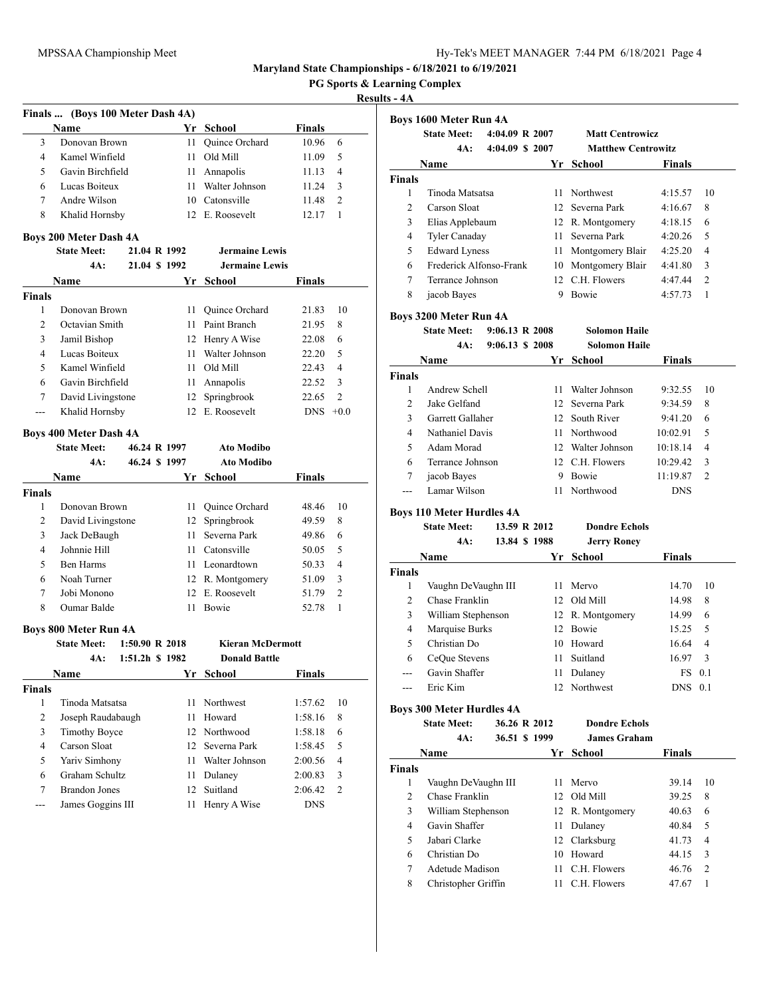**4A: 4:04.09 \$ 2007 Matthew Centrowitz**

**State Meet: 4:04.09 R 2007 Matt Centrowicz**

**Maryland State Championships - 6/18/2021 to 6/19/2021**

**PG Sports & Learning Complex**

**Boys 1600 Meter Run 4A**

|                    | Finals  (Boys 100 Meter Dash 4A)                    |                           |      |                                |               |                |
|--------------------|-----------------------------------------------------|---------------------------|------|--------------------------------|---------------|----------------|
|                    | Name                                                |                           |      | Yr School                      | Finals        |                |
| 3                  | Donovan Brown                                       |                           | 11   | Quince Orchard                 | 10.96         | 6              |
| 4                  | Kamel Winfield                                      |                           | 11 - | Old Mill                       | 11.09         | 5              |
| 5                  | Gavin Birchfield                                    |                           | 11   | Annapolis                      | 11.13         | 4              |
| 6                  | Lucas Boiteux                                       |                           | 11.  | Walter Johnson                 | 11.24         | 3              |
| 7                  | Andre Wilson                                        |                           |      | 10 Catonsville                 | 11.48         | $\overline{c}$ |
| 8                  | Khalid Hornsby                                      |                           |      | 12 E. Roosevelt                | 12.17         | 1              |
|                    |                                                     |                           |      |                                |               |                |
|                    | <b>Boys 200 Meter Dash 4A</b><br><b>State Meet:</b> | 21.04 R 1992              |      | <b>Jermaine Lewis</b>          |               |                |
|                    | 4A:                                                 | 21.04 \$ 1992             |      | <b>Jermaine Lewis</b>          |               |                |
|                    | Name                                                |                           | Yr   | School                         | Finals        |                |
|                    |                                                     |                           |      |                                |               |                |
| <b>Finals</b><br>1 | Donovan Brown                                       |                           | 11   | Quince Orchard                 | 21.83         | 10             |
| 2                  | Octavian Smith                                      |                           | 11 - | Paint Branch                   |               | 8              |
| 3                  |                                                     |                           | 12   |                                | 21.95         |                |
| $\overline{4}$     | Jamil Bishop<br>Lucas Boiteux                       |                           |      | Henry A Wise<br>Walter Johnson | 22.08         | 6              |
|                    | Kamel Winfield                                      |                           | 11 - |                                | 22.20         | 5              |
| 5                  |                                                     |                           | 11.  | Old Mill                       | 22.43         | 4              |
| 6                  | Gavin Birchfield                                    |                           | 11 - | Annapolis                      | 22.52         | 3              |
| 7                  | David Livingstone                                   |                           | 12   | Springbrook                    | 22.65         | $\overline{2}$ |
| $\overline{a}$     | Khalid Hornsby                                      |                           |      | 12 E. Roosevelt                | <b>DNS</b>    | $+0.0$         |
|                    | <b>Boys 400 Meter Dash 4A</b>                       |                           |      |                                |               |                |
|                    | <b>State Meet:</b>                                  | 46.24 R 1997              |      | <b>Ato Modibo</b>              |               |                |
|                    | 4A:                                                 | 46.24 \$1997              |      | <b>Ato Modibo</b>              |               |                |
|                    | Name                                                |                           | Yr   | School                         | <b>Finals</b> |                |
| <b>Finals</b>      |                                                     |                           |      |                                |               |                |
| 1                  | Donovan Brown                                       |                           | 11   | Quince Orchard                 | 48.46         | 10             |
| 2                  | David Livingstone                                   |                           | 12   | Springbrook                    | 49.59         | 8              |
| 3                  | Jack DeBaugh                                        |                           | 11 - | Severna Park                   | 49.86         | 6              |
| $\overline{4}$     | Johnnie Hill                                        |                           | 11 - | Catonsville                    | 50.05         | 5              |
| 5                  | <b>Ben Harms</b>                                    |                           | 11 - | Leonardtown                    | 50.33         | 4              |
| 6                  | Noah Turner                                         |                           |      | 12 R. Montgomery               | 51.09         | 3              |
| 7                  | Jobi Monono                                         |                           |      | 12 E. Roosevelt                | 51.79         | $\overline{c}$ |
| 8                  | Oumar Balde                                         |                           | 11   | Bowie                          | 52.78         | 1              |
|                    |                                                     |                           |      |                                |               |                |
|                    | <b>Boys 800 Meter Run 4A</b><br><b>State Meet:</b>  | $1:50.90 \text{ R } 2018$ |      | <b>Kieran McDermott</b>        |               |                |
|                    | 4A:                                                 | 1:51.2h \$ 1982           |      | <b>Donald Battle</b>           |               |                |
|                    | <b>Name</b>                                         |                           |      | Yr School                      | <b>Finals</b> |                |
| <b>Finals</b>      |                                                     |                           |      |                                |               |                |
| $\mathbf{1}$       | Tinoda Matsatsa                                     |                           | 11   | Northwest                      | 1:57.62       | 10             |
| 2                  | Joseph Raudabaugh                                   |                           | 11   | Howard                         | 1:58.16       | 8              |
| 3                  | <b>Timothy Boyce</b>                                |                           | 12   | Northwood                      | 1:58.18       | 6              |
| 4                  | Carson Sloat                                        |                           | 12   | Severna Park                   | 1:58.45       | 5              |
| 5                  | Yariv Simhony                                       |                           | 11   | Walter Johnson                 | 2:00.56       | $\overline{4}$ |
| 6                  | Graham Schultz                                      |                           | 11   | Dulaney                        | 2:00.83       | 3              |
| 7                  | <b>Brandon Jones</b>                                |                           | 12   | Suitland                       | 2:06.42       | 2              |
|                    | James Goggins III                                   |                           |      | Henry A Wise                   | <b>DNS</b>    |                |
| ---                |                                                     |                           | 11   |                                |               |                |

|                    | Name                             |                           |      | Yr School                                    | <b>Finals</b> |     |
|--------------------|----------------------------------|---------------------------|------|----------------------------------------------|---------------|-----|
| <b>Finals</b>      |                                  |                           |      |                                              |               |     |
| 1                  | Tinoda Matsatsa                  |                           | 11   | Northwest                                    | 4:15.57       | 10  |
| 2                  | Carson Sloat                     |                           |      | 12 Severna Park                              | 4:16.67       | 8   |
| 3                  | Elias Applebaum                  |                           |      | 12 R. Montgomery                             | 4:18.15       | 6   |
| 4                  | Tyler Canaday                    |                           |      | 11 Severna Park                              | 4:20.26       | 5   |
| 5                  | <b>Edward Lyness</b>             |                           |      | 11 Montgomery Blair                          | 4:25.20       | 4   |
| 6                  | Frederick Alfonso-Frank          |                           |      | 10 Montgomery Blair                          | 4:41.80       | 3   |
| 7                  | Terrance Johnson                 |                           |      | 12 C.H. Flowers                              | 4:47.44       | 2   |
| 8                  | jacob Bayes                      |                           |      | 9 Bowie                                      | 4:57.73       | 1   |
|                    |                                  |                           |      |                                              |               |     |
|                    | Boys 3200 Meter Run 4A           | $9:06.13 \text{ R } 2008$ |      |                                              |               |     |
|                    | <b>State Meet:</b><br>4A:        |                           |      | <b>Solomon Haile</b><br><b>Solomon Haile</b> |               |     |
|                    |                                  | 9:06.13 \$ 2008           |      |                                              |               |     |
|                    | Name                             |                           | Yr   | School                                       | Finals        |     |
| <b>Finals</b><br>1 | Andrew Schell                    |                           |      |                                              |               |     |
|                    |                                  |                           |      | 11 Walter Johnson                            | 9:32.55       | 10  |
| $\overline{c}$     | Jake Gelfand                     |                           |      | 12 Severna Park                              | 9:34.59       | 8   |
| 3                  | Garrett Gallaher                 |                           |      | 12 South River                               | 9:41.20       | 6   |
| $\overline{4}$     | Nathaniel Davis                  |                           |      | 11 Northwood                                 | 10:02.91      | 5   |
| 5                  | Adam Morad                       |                           |      | 12 Walter Johnson                            | 10:18.14      | 4   |
| 6                  | Terrance Johnson                 |                           |      | 12 C.H. Flowers                              | 10:29.42      | 3   |
| 7                  | jacob Bayes                      |                           |      | 9 Bowie                                      | 11:19.87      | 2   |
| ---                | Lamar Wilson                     |                           | 11   | Northwood                                    | <b>DNS</b>    |     |
|                    | <b>Boys 110 Meter Hurdles 4A</b> |                           |      |                                              |               |     |
|                    | <b>State Meet:</b>               | 13.59 R 2012              |      | <b>Dondre Echols</b>                         |               |     |
|                    |                                  |                           |      |                                              |               |     |
|                    | 4A:                              | 13.84 \$ 1988             |      | <b>Jerry Roney</b>                           |               |     |
|                    | Name                             |                           | Yr   | School                                       | Finals        |     |
| <b>Finals</b>      |                                  |                           |      |                                              |               |     |
| 1                  | Vaughn DeVaughn III              |                           | 11 - | Mervo                                        | 14.70         | 10  |
| 2                  | Chase Franklin                   |                           |      | 12 Old Mill                                  | 14.98         | 8   |
| 3                  | William Stephenson               |                           |      | 12 R. Montgomery                             | 14.99         | 6   |
| 4                  | Marquise Burks                   |                           |      | 12 Bowie                                     | 15.25         | 5   |
| 5                  | Christian Do                     |                           |      | 10 Howard                                    | 16.64         | 4   |
| 6                  | CeQue Stevens                    |                           |      | 11 Suitland                                  | 16.97         | 3   |
| ---                | Gavin Shaffer                    |                           | 11 - | Dulaney                                      | FS            | 0.1 |
| ---                | Eric Kim                         |                           |      | 12 Northwest                                 | <b>DNS</b>    | 0.1 |
|                    |                                  |                           |      |                                              |               |     |
|                    | <b>Boys 300 Meter Hurdles 4A</b> |                           |      |                                              |               |     |
|                    | <b>State Meet:</b>               | 36.26 R 2012              |      | Dondre Echols                                |               |     |
|                    | 4A:                              | 36.51 \$ 1999             |      | <b>James Graham</b>                          |               |     |
|                    | Name                             |                           | Yr   | School                                       | <b>Finals</b> |     |
| <b>Finals</b>      |                                  |                           |      |                                              |               |     |
| 1                  | Vaughn DeVaughn III              |                           | 11   | Mervo                                        | 39.14         | 10  |
| 2                  | Chase Franklin                   |                           | 12   | Old Mill                                     | 39.25         | 8   |
| 3                  | William Stephenson               |                           |      | 12 R. Montgomery                             | 40.63         | 6   |
| $\overline{4}$     | Gavin Shaffer                    |                           | 11   | Dulaney                                      | 40.84         | 5   |
| 5                  | Jabari Clarke                    |                           | 12   | Clarksburg                                   | 41.73         | 4   |
| 6                  | Christian Do                     |                           |      | 10 Howard                                    | 44.15         | 3   |
| 7                  | Adetude Madison                  |                           | 11 - | C.H. Flowers                                 | 46.76         | 2   |
| 8                  | Christopher Griffin              |                           | 11 - | C.H. Flowers                                 | 47.67         | 1   |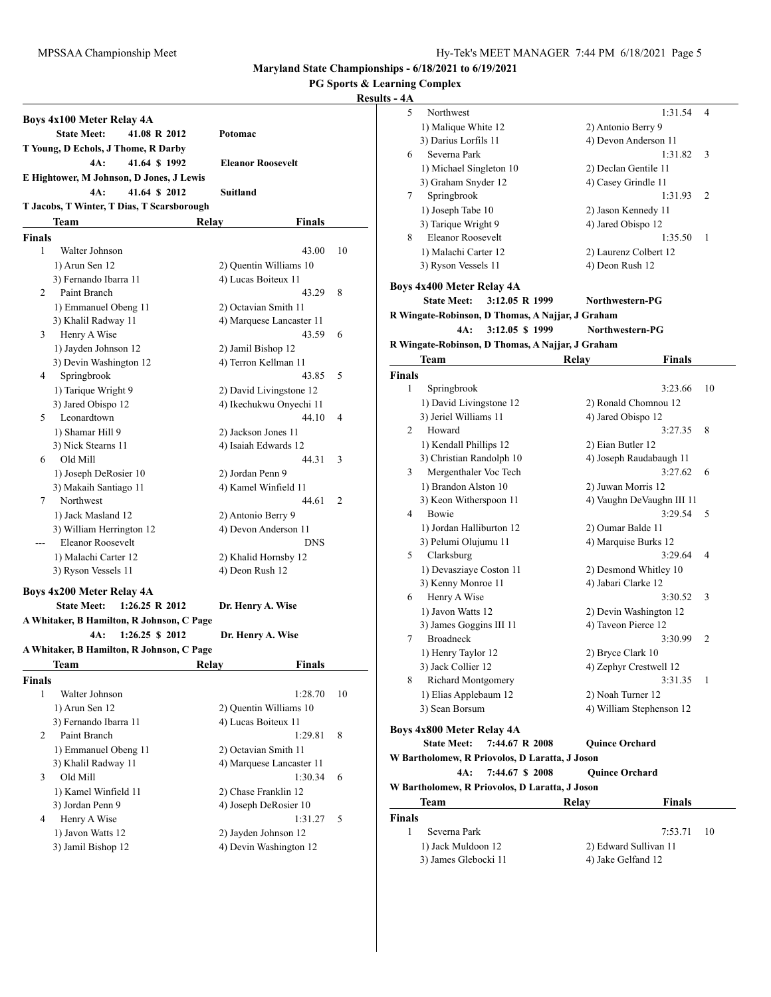#### **PG Sports & Learning Complex**

|               | Boys 4x100 Meter Relay 4A                  |                                             |    |
|---------------|--------------------------------------------|---------------------------------------------|----|
|               | <b>State Meet:</b><br>41.08 R 2012         | Potomac                                     |    |
|               | T Young, D Echols, J Thome, R Darby        |                                             |    |
|               | 4A:<br>41.64 \$1992                        | <b>Eleanor Roosevelt</b>                    |    |
|               | E Hightower, M Johnson, D Jones, J Lewis   |                                             |    |
|               | 4A:<br>41.64 \$ 2012                       | Suitland                                    |    |
|               | T Jacobs, T Winter, T Dias, T Scarsborough |                                             |    |
|               | Team                                       | Finals<br>Relay                             |    |
| Finals        |                                            |                                             |    |
| 1             | Walter Johnson                             | 43.00                                       | 10 |
|               | 1) Arun Sen 12                             | 2) Quentin Williams 10                      |    |
|               | 3) Fernando Ibarra 11                      | 4) Lucas Boiteux 11                         |    |
| 2             | Paint Branch                               | 43.29                                       | 8  |
|               | 1) Emmanuel Obeng 11                       | 2) Octavian Smith 11                        |    |
|               | 3) Khalil Radway 11                        | 4) Marquese Lancaster 11                    |    |
| 3             | Henry A Wise                               | 43.59                                       | 6  |
|               | 1) Jayden Johnson 12                       | 2) Jamil Bishop 12                          |    |
|               | 3) Devin Washington 12                     | 4) Terron Kellman 11<br>43.85               |    |
| 4             | Springbrook                                |                                             | 5  |
|               | 1) Tarique Wright 9<br>3) Jared Obispo 12  | 2) David Livingstone 12                     |    |
| 5             | Leonardtown                                | 4) Ikechukwu Onyechi 11<br>44.10            | 4  |
|               |                                            |                                             |    |
|               | 1) Shamar Hill 9<br>3) Nick Stearns 11     | 2) Jackson Jones 11<br>4) Isaiah Edwards 12 |    |
| 6             | Old Mill                                   | 44.31                                       | 3  |
|               | 1) Joseph DeRosier 10                      | 2) Jordan Penn 9                            |    |
|               | 3) Makaih Santiago 11                      | 4) Kamel Winfield 11                        |    |
| 7             | Northwest                                  | 44.61                                       | 2  |
|               | 1) Jack Masland 12                         | 2) Antonio Berry 9                          |    |
|               | 3) William Herrington 12                   | 4) Devon Anderson 11                        |    |
|               | Eleanor Roosevelt                          | <b>DNS</b>                                  |    |
|               | 1) Malachi Carter 12                       | 2) Khalid Hornsby 12                        |    |
|               | 3) Ryson Vessels 11                        | 4) Deon Rush 12                             |    |
|               |                                            |                                             |    |
|               | Boys 4x200 Meter Relay 4A                  |                                             |    |
|               | <b>State Meet:</b><br>1:26.25 R 2012       | Dr. Henry A. Wise                           |    |
|               | A Whitaker, B Hamilton, R Johnson, C Page  |                                             |    |
|               | 1:26.25 \$ 2012<br>4A:                     | Dr. Henry A. Wise                           |    |
|               | A Whitaker, B Hamilton, R Johnson, C Page  |                                             |    |
|               | Team                                       | <b>Finals</b><br>Relav                      |    |
| <b>Finals</b> |                                            |                                             |    |
| 1             | Walter Johnson                             | 1:28.70                                     | 10 |
|               | 1) Arun Sen 12                             | 2) Quentin Williams 10                      |    |
|               | 3) Fernando Ibarra 11                      | 4) Lucas Boiteux 11                         |    |
| 2             | Paint Branch                               | 1:29.81                                     | 8  |
|               | 1) Emmanuel Obeng 11                       | 2) Octavian Smith 11                        |    |
|               | 3) Khalil Radway 11                        | 4) Marquese Lancaster 11                    |    |
| 3             | Old Mill                                   | 1:30.34                                     | 6  |
|               | 1) Kamel Winfield 11                       | 2) Chase Franklin 12                        |    |
|               | 3) Jordan Penn 9                           | 4) Joseph DeRosier 10                       |    |
| 4             | Henry A Wise                               | 1:31.27                                     | 5  |
|               | 1) Javon Watts 12                          | 2) Jayden Johnson 12                        |    |
|               | 3) Jamil Bishop 12                         | 4) Devin Washington 12                      |    |

| IS - 4A       |                                                  |                           |    |
|---------------|--------------------------------------------------|---------------------------|----|
| 5             | Northwest                                        | 1:31.54                   | 4  |
|               | 1) Malique White 12                              | 2) Antonio Berry 9        |    |
|               | 3) Darius Lorfils 11                             | 4) Devon Anderson 11      |    |
| 6             | Severna Park                                     | 1:31.82                   | 3  |
|               | 1) Michael Singleton 10                          | 2) Declan Gentile 11      |    |
|               | 3) Graham Snyder 12                              | 4) Casey Grindle 11       |    |
| 7             | Springbrook                                      | 1:31.93                   | 2  |
|               | 1) Joseph Tabe 10                                | 2) Jason Kennedy 11       |    |
|               | 3) Tarique Wright 9                              | 4) Jared Obispo 12        |    |
| 8             | <b>Eleanor Roosevelt</b>                         | 1:35.50                   | 1  |
|               | 1) Malachi Carter 12                             | 2) Laurenz Colbert 12     |    |
|               | 3) Ryson Vessels 11                              | 4) Deon Rush 12           |    |
|               |                                                  |                           |    |
|               | Boys 4x400 Meter Relay 4A                        |                           |    |
|               | <b>State Meet:</b><br>3:12.05 R 1999             | Northwestern-PG           |    |
|               | R Wingate-Robinson, D Thomas, A Najjar, J Graham |                           |    |
|               | 3:12.05 \$ 1999<br>4A:                           | Northwestern-PG           |    |
|               | R Wingate-Robinson, D Thomas, A Najjar, J Graham |                           |    |
|               | <b>Team</b>                                      | Finals<br>Relay           |    |
| <b>Finals</b> |                                                  |                           |    |
| $\mathbf{1}$  | Springbrook                                      | 3:23.66                   | 10 |
|               | 1) David Livingstone 12                          | 2) Ronald Chomnou 12      |    |
|               | 3) Jeriel Williams 11                            | 4) Jared Obispo 12        |    |
| 2             | Howard                                           | 3:27.35                   | 8  |
|               | 1) Kendall Phillips 12                           | 2) Eian Butler 12         |    |
|               | 3) Christian Randolph 10                         | 4) Joseph Raudabaugh 11   |    |
| 3             | Mergenthaler Voc Tech                            | 3:27.62                   | 6  |
|               | 1) Brandon Alston 10                             | 2) Juwan Morris 12        |    |
|               | 3) Keon Witherspoon 11                           | 4) Vaughn DeVaughn III 11 |    |
| 4             | Bowie                                            | 3:29.54                   | 5  |
|               | 1) Jordan Halliburton 12                         | 2) Oumar Balde 11         |    |
|               | 3) Pelumi Olujumu 11                             | 4) Marquise Burks 12      |    |
| 5             | Clarksburg                                       | 3:29.64                   | 4  |
|               | 1) Devasziaye Coston 11                          | 2) Desmond Whitley 10     |    |
|               | 3) Kenny Monroe 11                               | 4) Jabari Clarke 12       |    |
| 6             | Henry A Wise                                     | 3:30.52                   | 3  |
|               | 1) Javon Watts 12                                | 2) Devin Washington 12    |    |
|               | 3) James Goggins III 11                          | 4) Taveon Pierce 12       |    |
| 7             | <b>Broadneck</b>                                 | 3:30.99                   | 2  |
|               | 1) Henry Taylor 12                               | 2) Bryce Clark 10         |    |
|               | 3) Jack Collier 12                               | 4) Zephyr Crestwell 12    |    |
| 8             | Richard Montgomery                               | 3:31.35                   | 1  |
|               | 1) Elias Applebaum 12                            | 2) Noah Turner 12         |    |
|               | 3) Sean Borsum                                   | 4) William Stephenson 12  |    |
|               |                                                  |                           |    |
|               | Boys 4x800 Meter Relay 4A                        |                           |    |
|               | <b>State Meet:</b><br>7:44.67 R 2008             | <b>Ouince Orchard</b>     |    |
|               | W Bartholomew, R Priovolos, D Laratta, J Joson   |                           |    |
|               | 7:44.67 \$ 2008<br>4A:                           | <b>Ouince Orchard</b>     |    |
|               | W Bartholomew, R Priovolos, D Laratta, J Joson   |                           |    |
|               | Team                                             | Relay<br>Finals           |    |
| <b>Finals</b> |                                                  |                           |    |
| 1             | Severna Park                                     | 7:53.71                   | 10 |
|               | 1) Jack Muldoon 12                               | 2) Edward Sullivan 11     |    |
|               | 3) James Glebocki 11                             | 4) Jake Gelfand 12        |    |
|               |                                                  |                           |    |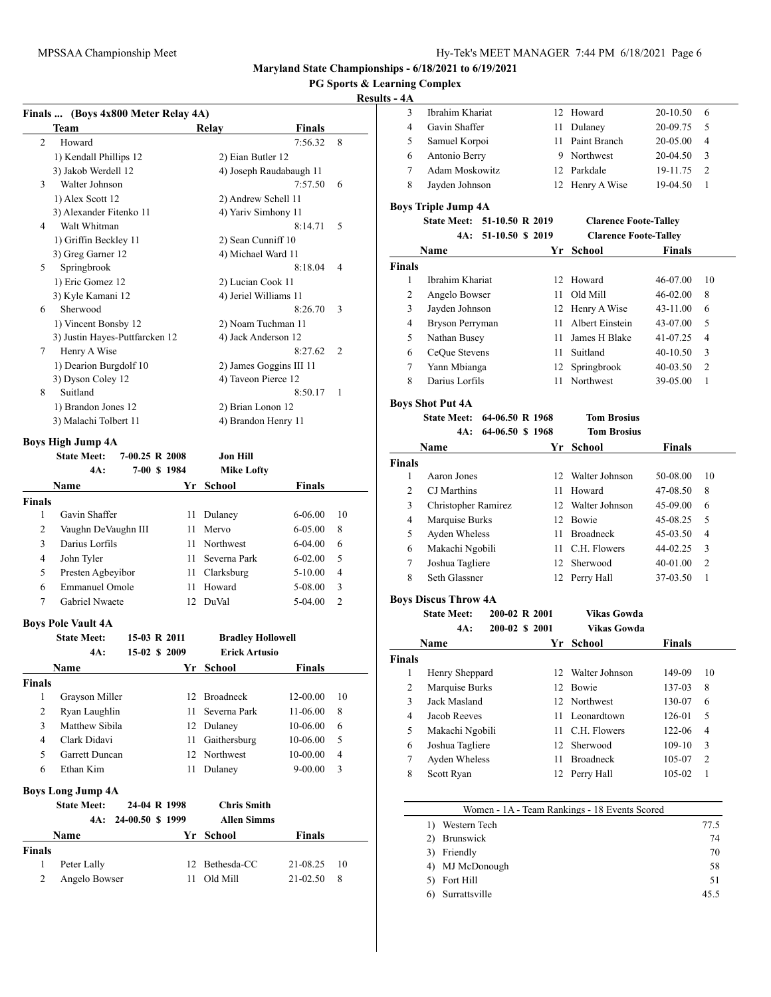### **PG Sports & Learning Complex**

#### **Results - 4A**

 $\overline{\phantom{0}}$ 

|                | Finals  (Boys 4x800 Meter Relay 4A) |                |                                                 |               |                |
|----------------|-------------------------------------|----------------|-------------------------------------------------|---------------|----------------|
|                | Team                                |                | Relay                                           | <b>Finals</b> |                |
| $\overline{2}$ | Howard                              |                |                                                 | 7:56.32       | 8              |
|                | 1) Kendall Phillips 12              |                | 2) Eian Butler 12                               |               |                |
|                | 3) Jakob Werdell 12                 |                | 4) Joseph Raudabaugh 11                         |               |                |
| 3              | Walter Johnson                      |                |                                                 | 7:57.50       | 6              |
|                | 1) Alex Scott 12                    |                | 2) Andrew Schell 11                             |               |                |
|                | 3) Alexander Fitenko 11             |                | 4) Yariv Simhony 11                             |               |                |
| 4              | Walt Whitman                        |                |                                                 | 8:14.71       | 5              |
|                | 1) Griffin Beckley 11               |                | 2) Sean Cunniff 10                              |               |                |
|                | 3) Greg Garner 12                   |                | 4) Michael Ward 11                              |               |                |
| 5              | Springbrook                         |                |                                                 | 8:18.04       | $\overline{4}$ |
|                | 1) Eric Gomez 12                    |                | 2) Lucian Cook 11                               |               |                |
|                | 3) Kyle Kamani 12                   |                | 4) Jeriel Williams 11                           |               |                |
| 6              | Sherwood                            |                |                                                 | 8:26.70       | 3              |
|                | 1) Vincent Bonsby 12                |                | 2) Noam Tuchman 11                              |               |                |
|                | 3) Justin Hayes-Puttfarcken 12      |                | 4) Jack Anderson 12                             |               |                |
| 7              | Henry A Wise                        |                |                                                 | 8:27.62       | $\overline{c}$ |
|                | 1) Dearion Burgdolf 10              |                | 2) James Goggins III 11                         |               |                |
|                | 3) Dyson Coley 12                   |                | 4) Taveon Pierce 12                             |               |                |
| 8              | Suitland                            |                |                                                 | 8:50.17       | 1              |
|                | 1) Brandon Jones 12                 |                | 2) Brian Lonon 12                               |               |                |
|                | 3) Malachi Tolbert 11               |                | 4) Brandon Henry 11                             |               |                |
|                | Boys High Jump 4A                   |                |                                                 |               |                |
|                | <b>State Meet:</b>                  | 7-00.25 R 2008 | Jon Hill                                        |               |                |
|                | 4A:                                 | 7-00 \$ 1984   | <b>Mike Lofty</b>                               |               |                |
|                | <b>NT</b>                           |                | $\mathbf{v}$ $\alpha$ $\mathbf{v}$ $\mathbf{v}$ |               |                |

|                | 4A.                       | 7-00 S 1984      | мике Lony                |               |                |
|----------------|---------------------------|------------------|--------------------------|---------------|----------------|
|                | <b>Name</b>               |                  | Yr School                | <b>Finals</b> |                |
| Finals         |                           |                  |                          |               |                |
| 1              | Gavin Shaffer             | 11               | Dulaney                  | $6 - 06.00$   | 10             |
| $\overline{2}$ | Vaughn DeVaughn III       | 11               | Mervo                    | $6 - 0.500$   | 8              |
| 3              | Darius Lorfils            | 11               | <b>Northwest</b>         | $6 - 04.00$   | 6              |
| $\overline{4}$ | John Tyler                | 11               | Severna Park             | $6 - 02.00$   | 5              |
| 5              | Presten Agbeyibor         | 11               | Clarksburg               | $5 - 10.00$   | $\overline{4}$ |
| 6              | <b>Emmanuel Omole</b>     | 11               | Howard                   | 5-08.00       | 3              |
| 7              | <b>Gabriel Nwaete</b>     | 12               | DuVal                    | 5-04.00       | $\overline{2}$ |
|                | <b>Boys Pole Vault 4A</b> |                  |                          |               |                |
|                | <b>State Meet:</b>        | 15-03 R 2011     | <b>Bradley Hollowell</b> |               |                |
|                | 4A:                       | 15-02 \$ 2009    | <b>Erick Artusio</b>     |               |                |
|                | Name                      | Yr               | <b>School</b>            | <b>Finals</b> |                |
| Finals         |                           |                  |                          |               |                |
| 1              | Grayson Miller            | 12               | <b>Broadneck</b>         | 12-00.00      | 10             |
| $\overline{2}$ | Ryan Laughlin             | 11               | Severna Park             | $11-06.00$    | 8              |
| 3              | Matthew Sibila            | 12               | Dulaney                  | 10-06.00      | 6              |
| $\overline{4}$ | Clark Didavi              | 11               | Gaithersburg             | $10-06.00$    | 5              |
| 5              | <b>Garrett Duncan</b>     | 12               | Northwest                | 10-00.00      | $\overline{4}$ |
| 6              | Ethan Kim                 | 11               | Dulaney                  | $9 - 00.00$   | 3              |
|                | <b>Boys Long Jump 4A</b>  |                  |                          |               |                |
|                | <b>State Meet:</b>        | 24-04 R 1998     | <b>Chris Smith</b>       |               |                |
|                | 4A:                       | 24-00.50 \$ 1999 | <b>Allen Simms</b>       |               |                |
|                | <b>Name</b>               | Yr               | School                   | Finals        |                |
| Finals         |                           |                  |                          |               |                |
| 1              | Peter Lally               | 12               | Bethesda-CC              | 21-08.25      | 10             |
| $\overline{2}$ | Angelo Bowser             | 11               | Old Mill                 | 21-02.50      | 8              |
|                |                           |                  |                          |               |                |

| 5 – 4A                  |                             |                  |                |                              |               |                          |
|-------------------------|-----------------------------|------------------|----------------|------------------------------|---------------|--------------------------|
| 3                       | Ibrahim Khariat             |                  |                | 12 Howard                    | 20-10.50      | 6                        |
| $\overline{4}$          | Gavin Shaffer               |                  |                | 11 Dulaney                   | 20-09.75      | 5                        |
| 5                       | Samuel Korpoi               |                  |                | 11 Paint Branch              | 20-05.00      | 4                        |
| 6                       | Antonio Berry               |                  |                | 9 Northwest                  | 20-04.50      | 3                        |
| 7                       | Adam Moskowitz              |                  |                | 12 Parkdale                  | 19-11.75      | 2                        |
| 8                       | Jayden Johnson              |                  |                | 12 Henry A Wise              | 19-04.50      | 1                        |
|                         | <b>Boys Triple Jump 4A</b>  |                  |                |                              |               |                          |
|                         | <b>State Meet:</b>          | 51-10.50 R 2019  |                | <b>Clarence Foote-Talley</b> |               |                          |
|                         | 4A:                         | 51-10.50 \$ 2019 |                | <b>Clarence Foote-Talley</b> |               |                          |
|                         | Name                        |                  | Yr             | School                       | <b>Finals</b> |                          |
| <b>Finals</b>           |                             |                  |                |                              |               |                          |
| 1                       | Ibrahim Khariat             |                  |                | 12 Howard                    | 46-07.00      | 10                       |
| 2                       | Angelo Bowser               |                  | 11             | Old Mill                     | 46-02.00      | 8                        |
| 3                       | Jayden Johnson              |                  |                | 12 Henry A Wise              | 43-11.00      | 6                        |
| 4                       | Bryson Perryman             |                  |                | 11 Albert Einstein           | 43-07.00      | 5                        |
| 5                       | Nathan Busey                |                  |                | 11 James H Blake             | 41-07.25      | 4                        |
| 6                       | CeQue Stevens               |                  |                | 11 Suitland                  | $40-10.50$    | 3                        |
| 7                       | Yann Mbianga                |                  | 12             | Springbrook                  | 40-03.50      | 2                        |
| 8                       | Darius Lorfils              |                  | 11             | Northwest                    | 39-05.00      | $\mathbf{1}$             |
|                         | <b>Boys Shot Put 4A</b>     |                  |                |                              |               |                          |
|                         | <b>State Meet:</b>          | 64-06.50 R 1968  |                | <b>Tom Brosius</b>           |               |                          |
|                         | 4A:                         | 64-06.50 \$1968  |                | <b>Tom Brosius</b>           |               |                          |
|                         | Name                        |                  | Yr             | <b>School</b>                | <b>Finals</b> |                          |
| <b>Finals</b>           |                             |                  |                |                              |               |                          |
| 1                       | Aaron Jones                 |                  |                | 12 Walter Johnson            | 50-08.00      | 10                       |
| 2                       | CJ Marthins                 |                  |                | 11 Howard                    | 47-08.50      | 8                        |
| 3                       | Christopher Ramirez         |                  |                | 12 Walter Johnson            | 45-09.00      | 6                        |
| 4                       | Marquise Burks              |                  |                | 12 Bowie                     | 45-08.25      | 5                        |
| 5                       | Ayden Wheless               |                  |                | 11 Broadneck                 | 45-03.50      | 4                        |
| 6                       | Makachi Ngobili             |                  |                | 11 C.H. Flowers              | 44-02.25      | 3                        |
| 7                       | Joshua Tagliere             |                  |                | 12 Sherwood                  | 40-01.00      | 2                        |
| 8                       | Seth Glassner               |                  | 12             | Perry Hall                   | 37-03.50      | $\mathbf{1}$             |
|                         | <b>Boys Discus Throw 4A</b> |                  |                |                              |               |                          |
|                         | <b>State Meet:</b>          |                  | 200-02 R 2001  | Vikas Gowda                  |               |                          |
|                         | 4A:                         |                  | 200-02 \$ 2001 | <b>Vikas Gowda</b>           |               |                          |
|                         | Name                        |                  | Yr             | School                       | Finals        |                          |
| Finals                  |                             |                  |                |                              |               |                          |
| $\mathbf{1}$            | Henry Sheppard              |                  | 12             | Walter Johnson               | 149-09        | 10                       |
| $\mathbf{2}$            | Marquise Burks              |                  | 12             | Bowie                        | 137-03        | 8                        |
| $\mathfrak{Z}$          | Jack Masland                |                  | 12             | Northwest                    | 130-07        | 6                        |
| $\overline{\mathbf{4}}$ | Jacob Reeves                |                  | 11             | Leonardtown                  | 126-01        | 5                        |
| 5                       | Makachi Ngobili             |                  | 11             | C.H. Flowers                 | 122-06        | $\overline{\mathcal{L}}$ |
| 6                       | Joshua Tagliere             |                  | 12             | Sherwood                     | 109-10        | 3                        |
| $\tau$                  | Ayden Wheless               |                  | $11\,$         | <b>Broadneck</b>             | 105-07        | $\overline{\mathbf{c}}$  |
| 8                       | Scott Ryan                  |                  | 12             | Perry Hall                   | 105-02        | $\mathbf{1}$             |

| Women - 1A - Team Rankings - 18 Events Scored |      |
|-----------------------------------------------|------|
| Western Tech                                  | 77.5 |
| Brunswick                                     | 74   |
| Friendly                                      | 70   |
| 4) MJ McDonough                               | 58   |
| Fort Hill                                     | 51   |
| Surrattsville                                 | 45.5 |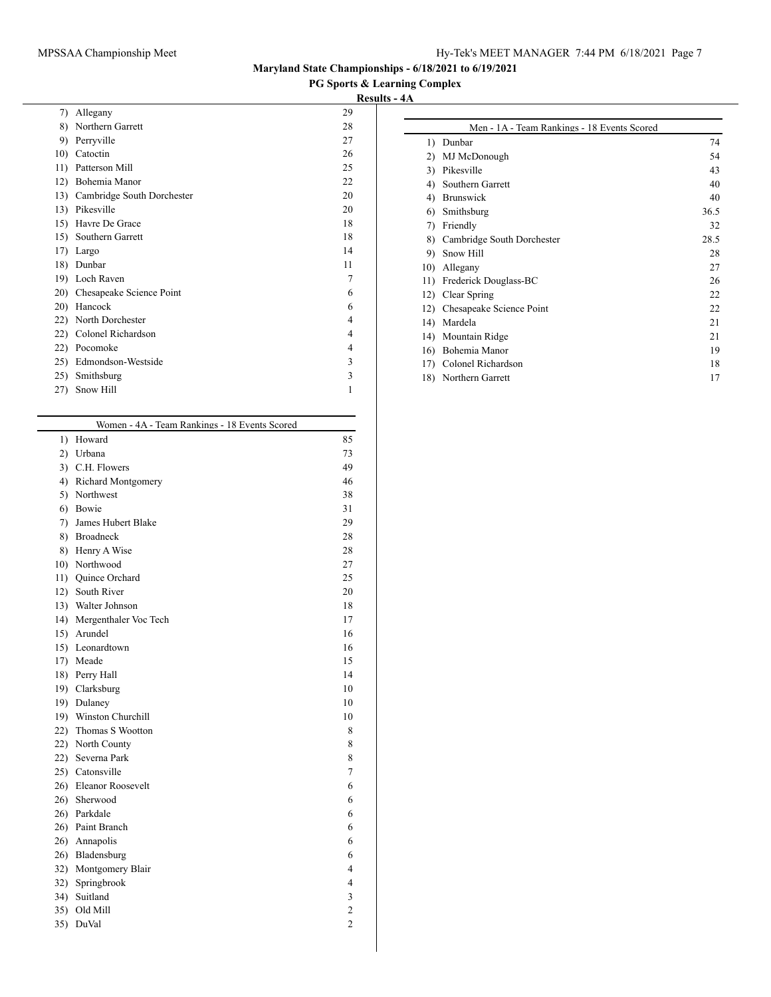# MPSSAA Championship Meet Hy-Tek's MEET MANAGER 7:44 PM 6/18/2021 Page 7

# **Maryland State Championships - 6/18/2021 to 6/19/2021**

# **PG Sports & Learning Complex**

| 7)  | Allegany                   | 29 |
|-----|----------------------------|----|
| 8)  | Northern Garrett           | 28 |
| 9)  | Perryville                 | 27 |
| 10) | Catoctin                   | 26 |
| 11) | Patterson Mill             | 25 |
| 12) | Bohemia Manor              | 22 |
| 13) | Cambridge South Dorchester | 20 |
| 13) | Pikesville                 | 20 |
| 15) | Havre De Grace             | 18 |
| 15) | Southern Garrett           | 18 |
| 17) | Largo                      | 14 |
| 18) | Dunbar                     | 11 |
| 19) | Loch Raven                 | 7  |
| 20) | Chesapeake Science Point   | 6  |
| 20) | Hancock                    | 6  |
| 22) | North Dorchester           | 4  |
| 22) | Colonel Richardson         | 4  |
| 22) | Pocomoke                   | 4  |
| 25) | Edmondson-Westside         | 3  |
| 25) | Smithsburg                 | 3  |
| 27) | Snow Hill                  | 1  |
|     |                            |    |

|     | Women - 4A - Team Rankings - 18 Events Scored |                |
|-----|-----------------------------------------------|----------------|
| 1)  | Howard                                        | 85             |
| 2)  | Urbana                                        | 73             |
| 3)  | C.H. Flowers                                  | 49             |
| 4)  | Richard Montgomery                            | 46             |
| 5)  | Northwest                                     | 38             |
| 6)  | Bowie                                         | 31             |
| 7)  | James Hubert Blake                            | 29             |
| 8)  | <b>Broadneck</b>                              | 28             |
| 8)  | Henry A Wise                                  | 28             |
| 10) | Northwood                                     | 27             |
| 11) | Quince Orchard                                | 25             |
| 12) | South River                                   | 20             |
| 13) | Walter Johnson                                | 18             |
| 14) | Mergenthaler Voc Tech                         | 17             |
| 15) | Arundel                                       | 16             |
| 15) | Leonardtown                                   | 16             |
| 17) | Meade                                         | 15             |
| 18) | Perry Hall                                    | 14             |
| 19) | Clarksburg                                    | 10             |
| 19) | Dulaney                                       | 10             |
| 19) | Winston Churchill                             | 10             |
| 22) | Thomas S Wootton                              | 8              |
| 22) | North County                                  | 8              |
| 22) | Severna Park                                  | 8              |
| 25) | Catonsville                                   | 7              |
| 26) | Eleanor Roosevelt                             | 6              |
| 26) | Sherwood                                      | 6              |
| 26) | Parkdale                                      | 6              |
| 26) | Paint Branch                                  | 6              |
| 26) | Annapolis                                     | 6              |
| 26) | Bladensburg                                   | 6              |
| 32) | Montgomery Blair                              | 4              |
| 32) | Springbrook                                   | 4              |
| 34) | Suitland                                      | 3              |
| 35) | Old Mill                                      | 2              |
| 35) | DuVal                                         | $\overline{c}$ |
|     |                                               |                |

|              | Men - 1A - Team Rankings - 18 Events Scored |      |
|--------------|---------------------------------------------|------|
| $\mathbf{D}$ | Dunbar                                      | 74   |
| 2)           | MJ McDonough                                | 54   |
| 3)           | Pikesville                                  | 43   |
| 4)           | Southern Garrett                            | 40   |
| 4)           | <b>Brunswick</b>                            | 40   |
| 6)           | Smithsburg                                  | 36.5 |
| 7)           | Friendly                                    | 32   |
| 8)           | Cambridge South Dorchester                  | 28.5 |
| 9)           | Snow Hill                                   | 28   |
| 10)          | Allegany                                    | 27   |
| 11)          | Frederick Douglass-BC                       | 26   |
| 12)          | Clear Spring                                | 22   |
| 12)          | Chesapeake Science Point                    | 22   |
| 14)          | Mardela                                     | 21   |
| 14)          | Mountain Ridge                              | 21   |
| 16)          | Bohemia Manor                               | 19   |
| 17)          | Colonel Richardson                          | 18   |
| 18)          | Northern Garrett                            | 17   |